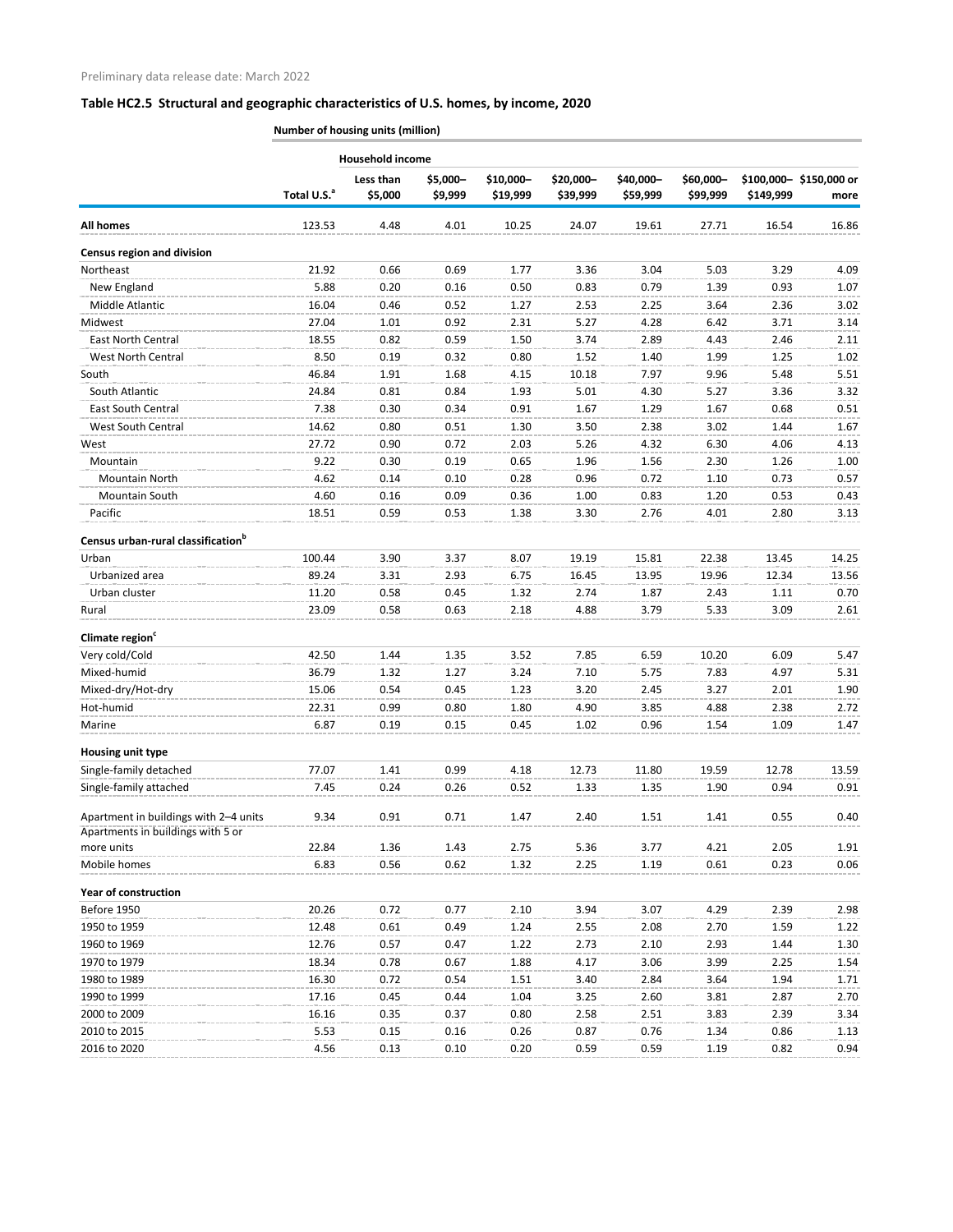|                                                 | <b>Household income</b> |                      |                     |                       |                       |                       |                       |           |                                |  |  |
|-------------------------------------------------|-------------------------|----------------------|---------------------|-----------------------|-----------------------|-----------------------|-----------------------|-----------|--------------------------------|--|--|
|                                                 | Total U.S. <sup>a</sup> | Less than<br>\$5,000 | \$5,000-<br>\$9,999 | \$10,000-<br>\$19,999 | \$20,000-<br>\$39,999 | \$40,000-<br>\$59,999 | \$60,000-<br>\$99,999 | \$149,999 | \$100,000-\$150,000 or<br>more |  |  |
| <b>All homes</b>                                | 123.53                  | 4.48                 | 4.01                | 10.25                 | 24.07                 | 19.61                 | 27.71                 | 16.54     | 16.86                          |  |  |
| <b>Census region and division</b>               |                         |                      |                     |                       |                       |                       |                       |           |                                |  |  |
| <b>Northeast</b>                                | 21.92                   | 0.66                 | 0.69                | 1.77                  | 3.36                  | 3.04                  | 5.03                  | 3.29      | 4.09                           |  |  |
| New England                                     | 5.88                    | 0.20                 | 0.16                | 0.50                  | 0.83                  | 0.79                  | 1.39                  | 0.93      | 1.07                           |  |  |
| Middle Atlantic                                 | 16.04                   | 0.46                 | 0.52                | 1.27                  | 2.53                  | 2.25                  | 3.64                  | 2.36      | 3.02                           |  |  |
| Midwest                                         | 27.04                   | 1.01                 | 0.92                | 2.31                  | 5.27                  | 4.28                  | 6.42                  | 3.71      | 3.14                           |  |  |
| <b>East North Central</b>                       | 18.55                   | 0.82                 | 0.59                | 1.50                  | 3.74                  | 2.89                  | 4.43                  | 2.46      | 2.11                           |  |  |
| West North Central                              | 8.50                    | 0.19                 | 0.32                | 0.80                  | 1.52                  | 1.40                  | 1.99                  | 1.25      | 1.02                           |  |  |
| South                                           | 46.84                   | 1.91                 | 1.68                | 4.15                  | 10.18                 | 7.97                  | 9.96                  | 5.48      | 5.51                           |  |  |
| South Atlantic                                  | 24.84                   | 0.81                 | 0.84                | 1.93                  | 5.01                  | 4.30                  | 5.27                  | 3.36      | 3.32                           |  |  |
| <b>East South Central</b>                       | 7.38                    | 0.30                 | 0.34                | 0.91                  | 1.67                  | 1.29                  | 1.67                  | 0.68      | 0.51                           |  |  |
| West South Central                              | 14.62                   | 0.80                 | 0.51                | 1.30                  | 3.50                  | 2.38                  | 3.02                  | 1.44      | 1.67                           |  |  |
| West                                            | 27.72                   | 0.90                 | 0.72                | 2.03                  | 5.26                  | 4.32                  | 6.30                  | 4.06      | 4.13                           |  |  |
| Mountain                                        | 9.22                    | 0.30                 | 0.19                | 0.65                  | 1.96                  | 1.56                  | 2.30                  | 1.26      | 1.00                           |  |  |
| Mountain North                                  | 4.62                    | 0.14                 | 0.10                | 0.28                  | 0.96                  | 0.72                  | 1.10                  | 0.73      | 0.57                           |  |  |
| <b>Mountain South</b>                           | 4.60                    | 0.16                 | 0.09                | 0.36                  | 1.00                  | 0.83                  | 1.20                  | 0.53      | 0.43                           |  |  |
| Pacific                                         | 18.51                   | 0.59                 | 0.53                | 1.38                  | 3.30                  | 2.76                  | 4.01                  | 2.80      | 3.13                           |  |  |
|                                                 |                         |                      |                     |                       |                       |                       |                       |           |                                |  |  |
| Census urban-rural classification <sup>b</sup>  |                         |                      |                     |                       |                       |                       |                       |           |                                |  |  |
| Urban                                           | 100.44                  | 3.90                 | 3.37                | 8.07                  | 19.19                 | 15.81                 | 22.38                 | 13.45     | 14.25                          |  |  |
| Urbanized area                                  | 89.24                   | 3.31                 | 2.93                | 6.75                  | 16.45                 | 13.95                 | 19.96                 | 12.34     | 13.56                          |  |  |
| Urban cluster                                   | 11.20                   | 0.58                 | 0.45                | 1.32                  | 2.74                  | 1.87                  | 2.43                  | 1.11      | 0.70                           |  |  |
| Rural                                           | 23.09                   | 0.58                 | 0.63                | 2.18                  | 4.88                  | 3.79                  | 5.33                  | 3.09      | 2.61                           |  |  |
|                                                 |                         |                      |                     |                       |                       |                       |                       |           |                                |  |  |
| Climate region <sup>c</sup>                     |                         |                      |                     |                       |                       |                       |                       |           |                                |  |  |
| Very cold/Cold                                  | 42.50                   | 1.44                 | 1.35                | 3.52                  | 7.85                  | 6.59                  | 10.20                 | 6.09      | 5.47                           |  |  |
| Mixed-humid                                     | 36.79                   | 1.32                 | 1.27                | 3.24                  | 7.10                  | 5.75                  | 7.83                  | 4.97      | 5.31                           |  |  |
| Mixed-dry/Hot-dry                               | 15.06                   | 0.54                 | 0.45                | 1.23                  | 3.ZU                  | 2.45                  | 3.27                  | 2.01      | 1.90                           |  |  |
| Hot-humid                                       | 22.31                   | 0.99                 | 0.80                | 1.80                  | 4.90                  | 3.85                  | 4.88                  | 2.38      | 2.72                           |  |  |
| Marine                                          | 6.87                    | 0.19                 | 0.15                | 0.45                  | 1.02                  | 0.96                  | 1.54                  | 1.09      | 1.47                           |  |  |
| Housing unit type                               |                         |                      |                     |                       |                       |                       |                       |           |                                |  |  |
| Single-family detached                          | 77.07                   | 1.41                 | 0.99                | 4.18                  | 12.73                 | 11.80                 | 19.59                 | 12.78     | 13.59                          |  |  |
| Single-family attached                          | 7.45                    | 0.24                 | 0.26                | 0.52                  | 1.33                  | 1.35                  | 1.90                  | 0.94      | 0.91                           |  |  |
| Apartment in buildings with 2-4 units           | 9.34                    | 0.91                 | 0.71                | 1.47                  | 2.40                  | 1.51                  | 1.41                  | 0.55      | 0.40                           |  |  |
| Apartments in buildings with 5 or<br>more units | 22.84                   | 1.36                 | 1.43                | 2.75                  | 5.36                  | 3.77                  | 4.21                  | 2.05      | 1.91                           |  |  |
| Mobile homes                                    | 6.83                    | 0.56                 | 0.62                | 1.32                  | 2.25                  | 1.19                  | 0.61                  | 0.23      | 0.06                           |  |  |
| <b>Year of construction</b>                     |                         |                      |                     |                       |                       |                       |                       |           |                                |  |  |
| Before 1950                                     | 20.26                   | 0.72                 | 0.77                | 2.10                  | 3.94                  | 3.07                  | 4.29                  | 2.39      | 2.98                           |  |  |
| 1950 to 1959                                    | 12.48                   | 0.61                 | 0.49                | 1.24                  | 2.55                  | 2.08                  | 2.70                  | 1.59      | 1.22                           |  |  |
| 1960 to 1969                                    | 12.76                   | 0.57                 | 0.47                | 1.22                  | 2.73                  | 2.10                  | 2.93                  | 1.44      | 1.30                           |  |  |
| 1970 to 1979                                    | 18.34                   | 0.78                 | 0.67                | 1.88                  | 4.17                  | 3.06                  | 3.99                  | 2.25      | 1.54                           |  |  |
| 1980 to 1989                                    | 16.30                   | 0.72                 | 0.54                | 1.51                  | 3.40                  | 2.84                  | 3.64                  | 1.94      | 1.71                           |  |  |
| 1990 to 1999                                    | 17.16                   | 0.45                 | 0.44                | 1.04                  | 3.25                  | 2.60                  | 3.81                  | 2.87      | 2.70                           |  |  |
| 2000 to 2009                                    | 16.16                   | 0.35                 | 0.37                | 0.80                  | 2.58                  | 2.51                  | 3.83                  | 2.39      | 3.34                           |  |  |
| 2010 to 2015                                    | 5.53                    | 0.15                 | 0.16                | 0.26                  | 0.87                  | 0.76                  | 1.34                  | 0.86      | 1.13                           |  |  |
| 2016 to 2020                                    | 4.56                    | 0.13                 | 0.10                | 0.20                  | 0.59                  | 0.59                  | 1.19                  | 0.82      | 0.94                           |  |  |
|                                                 |                         |                      |                     |                       |                       |                       |                       |           |                                |  |  |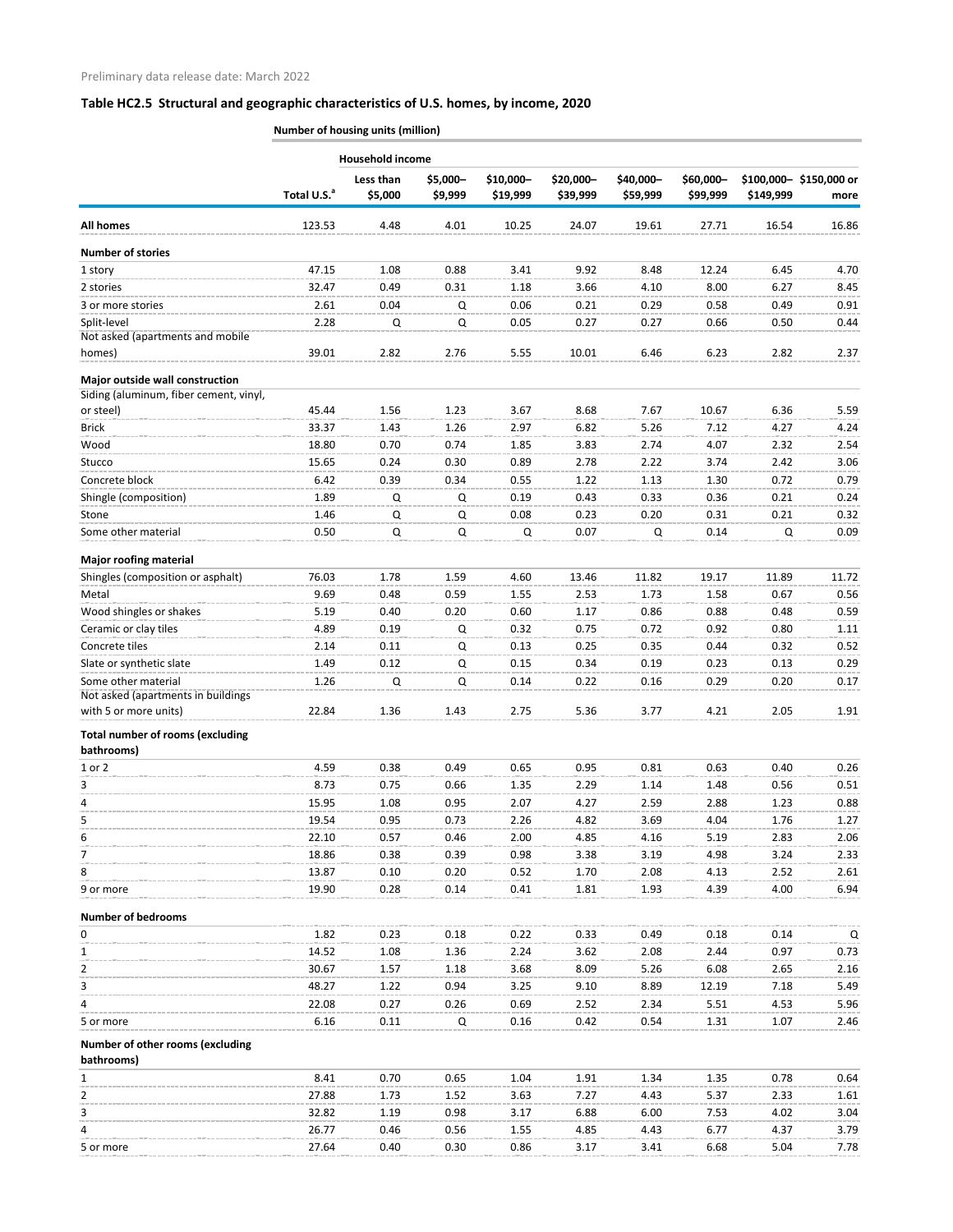|                                                       | Number of housing units (million) |                      |                     |                       |                       |                       |                       |              |                                |  |  |
|-------------------------------------------------------|-----------------------------------|----------------------|---------------------|-----------------------|-----------------------|-----------------------|-----------------------|--------------|--------------------------------|--|--|
|                                                       |                                   | Household income     |                     |                       |                       |                       |                       |              |                                |  |  |
|                                                       | Total U.S. <sup>a</sup>           | Less than<br>\$5,000 | \$5,000-<br>\$9,999 | \$10,000-<br>\$19,999 | \$20,000-<br>\$39,999 | \$40,000-<br>\$59,999 | \$60,000-<br>\$99,999 | \$149,999    | \$100,000-\$150,000 or<br>more |  |  |
| <b>All homes</b>                                      | 123.53                            | 4.48                 | 4.01                | 10.25                 | 24.07                 | 19.61                 | 27.71                 | 16.54        | 16.86                          |  |  |
| <b>Number of stories</b>                              |                                   |                      |                     |                       |                       |                       |                       |              |                                |  |  |
| 1 story                                               | 47.15                             | 1.08                 | 0.88                | 3.41                  | 9.92                  | 8.48                  | 12.24                 | 6.45         | 4.70                           |  |  |
| 2 stories                                             | 32.47                             | 0.49                 | 0.31                | 1.18                  | 3.66                  | 4.10                  | 8.00                  | 6.27         | 8.45                           |  |  |
| 3 or more stories                                     | 2.61                              | 0.04                 | Q                   | 0.06                  | 0.21                  | 0.29                  | 0.58                  | 0.49         | 0.91                           |  |  |
| Split-level                                           | 2.28                              | Q                    | Q                   | 0.05                  | 0.27                  | 0.27                  | 0.66                  | 0.50         | 0.44                           |  |  |
| Not asked (apartments and mobile                      |                                   |                      |                     |                       |                       |                       |                       |              |                                |  |  |
| homes)                                                | 39.01                             | 2.82                 | 2.76                | 5.55                  | 10.01                 | 6.46                  | 6.23                  | 2.82         | 2.37                           |  |  |
| Major outside wall construction                       |                                   |                      |                     |                       |                       |                       |                       |              |                                |  |  |
| Siding (aluminum, fiber cement, vinyl,                |                                   |                      |                     |                       |                       |                       |                       |              |                                |  |  |
| or steel)                                             | 45.44                             | 1.56                 | 1.23                | 3.67                  | 8.68                  | 7.67                  | 10.67                 | 6.36         | 5.59                           |  |  |
| <b>Brick</b>                                          | 33.37                             | 1.43                 | 1.26                | 2.97                  | 6.82                  | 5.26                  | 7.12                  | 4.27         | 4.24                           |  |  |
| Wood                                                  | 18.80                             | 0.70                 | 0.74                | 1.85                  | 3.83                  | 2.74                  | 4.07                  | 2.32         | 2.54                           |  |  |
| Stucco                                                | 15.65                             | 0.24                 | 0.30                | 0.89                  | 2.78                  | 2.22                  | 3.74                  | 2.42         | 3.06                           |  |  |
| Concrete block                                        | 6.42                              | 0.39                 | 0.34                | 0.55                  | 1.22                  | 1.13                  | 1.30                  | 0.72         | 0.79                           |  |  |
| Shingle (composition)                                 | 1.89                              | Q                    | Q                   | 0.19                  | 0.43                  | 0.33                  | 0.36                  | 0.21         | 0.24                           |  |  |
| Stone                                                 | 1.46                              | Q                    | Q                   | 0.08                  | 0.23                  | 0.20                  | 0.31                  | 0.21         | 0.32                           |  |  |
| Some other material                                   | 0.50                              | Q                    | Q                   | Q                     | 0.07                  | Q                     | 0.14                  | Q            | 0.09                           |  |  |
|                                                       |                                   |                      |                     |                       |                       |                       |                       |              |                                |  |  |
| <b>Major roofing material</b>                         |                                   |                      |                     |                       |                       |                       |                       |              |                                |  |  |
| Shingles (composition or asphalt)                     | 76.03                             | 1.78                 | 1.59                | 4.60                  | 13.46                 | 11.82                 | 19.17                 | 11.89        | 11.72                          |  |  |
| Metal                                                 | 9.69                              | 0.48                 | 0.59                | 1.55                  | 2.53                  | 1.73                  | 1.58                  | 0.67         | 0.56                           |  |  |
| Wood shingles or shakes                               | 5.19                              | 0.40                 | 0.20                | 0.60                  | 1.17                  | 0.86                  | 0.88                  | 0.48         | 0.59                           |  |  |
| Ceramic or clay tiles<br>Concrete tiles               | 4.89<br>2.14                      | 0.19<br>0.11         | Q                   | 0.32<br>0.13          | 0.75<br>0.25          | 0.72<br>0.35          | 0.92<br>0.44          | 0.80<br>0.32 | 1.11<br>0.52                   |  |  |
| Slate or synthetic slate                              | 1.49                              | 0.12                 | Q<br>Q              | 0.15                  | 0.34                  | 0.19                  | 0.23                  | 0.13         | 0.29                           |  |  |
| Some other material                                   | 1.26                              | Q                    | Q                   | 0.14                  | 0.22                  | 0.16                  | 0.29                  | 0.20         | 0.17                           |  |  |
| Not asked (apartments in buildings                    |                                   |                      |                     |                       |                       |                       |                       |              |                                |  |  |
| with 5 or more units)                                 | 22.84                             | 1.36                 | 1.43                | 2.75                  | 5.36                  | 3.77                  | 4.21                  | 2.05         | 1.91                           |  |  |
| <b>Total number of rooms (excluding</b><br>bathrooms) |                                   |                      |                     |                       |                       |                       |                       |              |                                |  |  |
| 1 or 2                                                | 4.59                              | 0.38                 | 0.49                | 0.65                  | 0.95                  | 0.81                  | 0.63                  | 0.40         | 0.26                           |  |  |
| 3                                                     | 8.73                              | 0.75                 | 0.66                | 1.35                  | 2.29                  | 1.14                  | 1.48                  | 0.56         | 0.51                           |  |  |
| 4                                                     | 15.95                             | 1.08                 | 0.95                | 2.07                  | 4.27                  | 2.59                  | 2.88                  | 1.23         | 0.88                           |  |  |
| 5                                                     | 19.54                             | 0.95                 | 0.73                | 2.26                  | 4.82                  | 3.69                  | 4.04                  | 1.76         | 1.27                           |  |  |
| 6                                                     | 22.10                             | 0.57                 | 0.46                | 2.00                  | 4.85                  | 4.16                  | 5.19                  | 2.83         | 2.06                           |  |  |
| $\overline{7}$                                        | 18.86                             | 0.38                 | 0.39                | 0.98                  | 3.38                  | 3.19                  | 4.98                  | 3.24         | 2.33                           |  |  |
| 8                                                     | 13.87                             | 0.10                 | 0.20                | 0.52                  | 1.70                  | 2.08                  | 4.13                  | 2.52         | 2.61                           |  |  |
| 9 or more                                             | 19.90                             | 0.28                 | 0.14                | 0.41                  | 1.81                  | 1.93                  | 4.39                  | 4.00         | 6.94                           |  |  |
| <b>Number of bedrooms</b>                             |                                   |                      |                     |                       |                       |                       |                       |              |                                |  |  |
| 0                                                     | 1.82                              | 0.23                 | 0.18                | 0.22                  | 0.33                  | 0.49                  | 0.18                  | 0.14         | Q                              |  |  |
| 1                                                     | 14.52                             | 1.08                 | 1.36                | 2.24                  | 3.62                  | 2.08                  | 2.44                  | 0.97         | 0.73                           |  |  |
| $\overline{2}$                                        | 30.67                             | 1.57                 | 1.18                | 3.68                  | 8.09                  | 5.26                  | 6.08                  | 2.65         | 2.16                           |  |  |
| 3                                                     | 48.27                             | 1.22                 | 0.94                | 3.25                  | 9.10                  | 8.89                  | 12.19                 | 7.18         | 5.49                           |  |  |
| 4                                                     | 22.08                             | 0.27                 | 0.26                | 0.69                  | 2.52                  | 2.34                  | 5.51                  | 4.53         | 5.96                           |  |  |
| 5 or more                                             | 6.16                              | 0.11                 | Q                   | 0.16                  | 0.42                  | 0.54                  | 1.31                  | 1.07         | 2.46                           |  |  |
| Number of other rooms (excluding<br>bathrooms)        |                                   |                      |                     |                       |                       |                       |                       |              |                                |  |  |
| 1                                                     | 8.41                              | 0.70                 | 0.65                | 1.04                  | 1.91                  | 1.34                  | 1.35                  | 0.78         | 0.64                           |  |  |
| 2                                                     | 27.88                             | 1.73                 | 1.52                | 3.63                  | 7.27                  | 4.43                  | 5.37                  | 2.33         | 1.61                           |  |  |
| 3                                                     | 32.82                             | 1.19                 | 0.98                | 3.17                  | 6.88                  | 6.00                  | 7.53                  | 4.02         | 3.04                           |  |  |
|                                                       | 26.77                             | 0.46                 | 0.56                | 1.55                  | 4.85                  | 4.43                  | 6.77                  | 4.37         | 3.79                           |  |  |

5 or more 27.64 0.40 0.30 0.86 3.17 3.41 6.68 5.04 7.78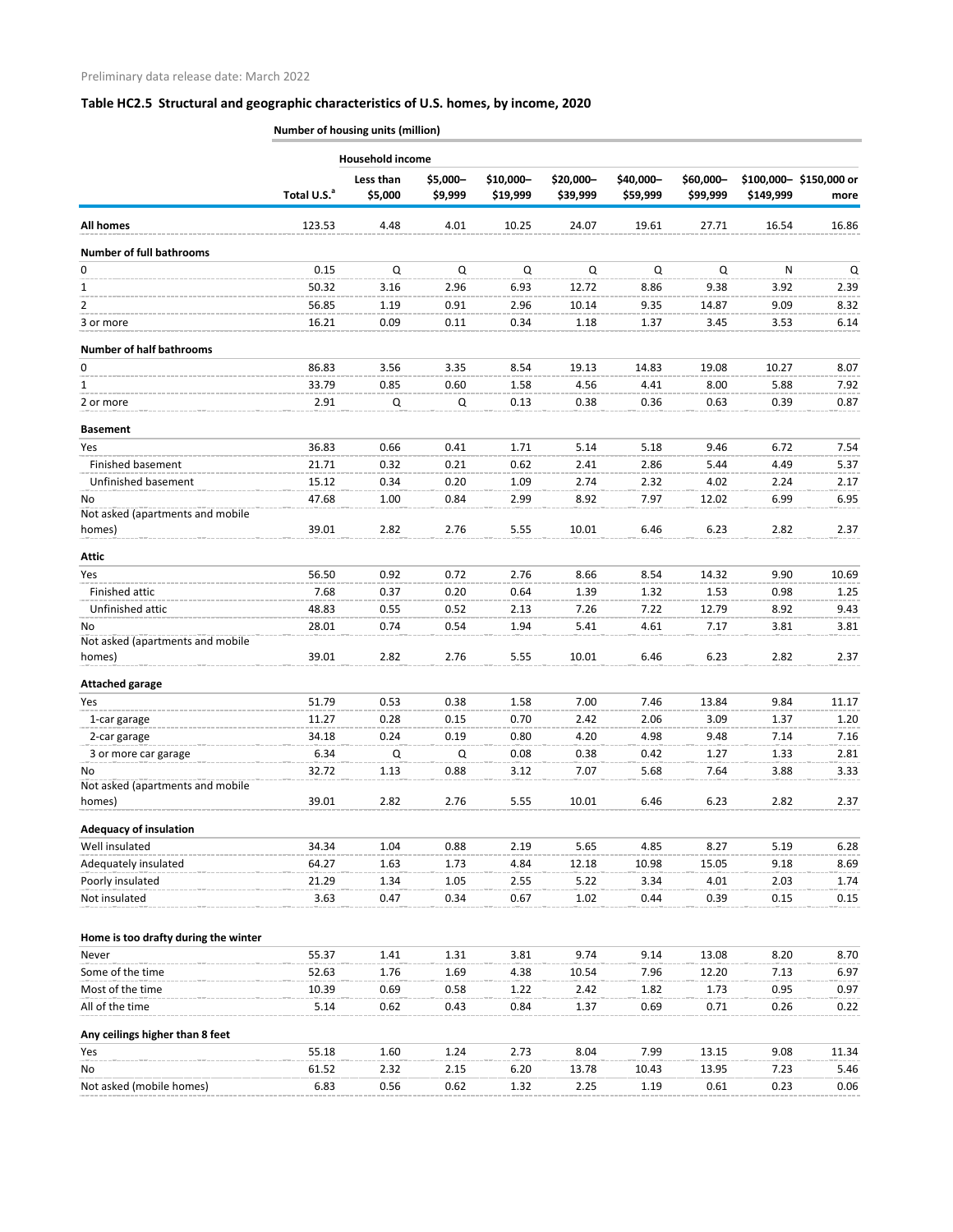|                                            |                         | <b>Household income</b> |                     |                       |                       |                       |                       |           |                                |
|--------------------------------------------|-------------------------|-------------------------|---------------------|-----------------------|-----------------------|-----------------------|-----------------------|-----------|--------------------------------|
|                                            | Total U.S. <sup>a</sup> | Less than<br>\$5,000    | \$5,000-<br>\$9,999 | \$10,000-<br>\$19,999 | \$20,000-<br>\$39,999 | \$40,000-<br>\$59,999 | \$60,000-<br>\$99,999 | \$149,999 | \$100,000-\$150,000 or<br>more |
| <b>All homes</b>                           | 123.53                  | 4.48                    | 4.01                | 10.25                 | 24.07                 | 19.61                 | 27.71                 | 16.54     | 16.86                          |
| <b>Number of full bathrooms</b>            |                         |                         |                     |                       |                       |                       |                       |           |                                |
| 0                                          | 0.15                    | Q                       | Q                   | Q                     | Q                     | Q                     | $\Omega$              | N         | Q                              |
| 1                                          | 50.32                   | 3.16                    | 2.96                | 6.93                  | 12.72                 | 8.86                  | 9.38                  | 3.92      | 2.39                           |
| $\overline{2}$                             | 56.85                   | 1.19                    | 0.91                | 2.96                  | 10.14                 | 9.35                  | 14.87                 | 9.09      | 8.32                           |
| 3 or more                                  | 16.21                   | 0.09                    | 0.11                | 0.34                  | 1.18                  | 1.37                  | 3.45                  | 3.53      | 6.14                           |
| <b>Number of half bathrooms</b>            |                         |                         |                     |                       |                       |                       |                       |           |                                |
| 0                                          | 86.83                   | 3.56                    | 3.35                | 8.54                  | 19.13                 | 14.83                 | 19.08                 | 10.27     | 8.07                           |
| 1                                          | 33.79                   | 0.85                    | 0.60                | 1.58                  | 4.56                  | 4.41                  | 8.00                  | 5.88      | 7.92                           |
| 2 or more                                  | 2.91                    | Q                       | Q                   | 0.13                  | 0.38                  | 0.36                  | 0.63                  | 0.39      | 0.87                           |
| <b>Basement</b>                            |                         |                         |                     |                       |                       |                       |                       |           |                                |
| Yes                                        | 36.83                   | 0.66                    | 0.41                | 1.71                  | 5.14                  | 5.18                  | 9.46                  | 6.72      | 7.54                           |
| Finished basement                          | 21.71                   | 0.32                    | 0.21                | 0.62                  | 2.41                  | 2.86                  | 5.44                  | 4.49      | 5.37                           |
| Unfinished basement                        | 15.12                   | 0.34                    | 0.20                | 1.09                  | 2.74                  | 2.32                  | 4.02                  | 2.24      | 2.17                           |
| No.<br>Not asked (apartments and mobile    | 47.68                   | 1.00                    | 0.84                | 2.99                  | 8.92                  | 7.97                  | 12.02                 | 6.99      | 6.95                           |
| homes)                                     | 39.01                   | 2.82                    | 2.76                | 5.55                  | 10.01                 | 6.46                  | 6.23                  | 2.82      | 2.37                           |
| Attic                                      |                         |                         |                     |                       |                       |                       |                       |           |                                |
| Yes                                        | 56.50                   | 0.92                    | 0.72                | 2.76                  | 8.66                  | 8.54                  | 14.32                 | 9.90      | 10.69                          |
| Finished attic                             | 7.68                    | 0.37                    | 0.20                | 0.64                  | 1.39                  | 1.32                  | 1.53                  | 0.98      | 1.25                           |
| Unfinished attic                           | 48.83                   | 0.55                    | 0.52                | 2.13                  | 7.26                  | 7.22                  | 12.79                 | 8.92      | 9.43                           |
| No.<br>Not asked (apartments and mobile    | 28.01                   | 0.74                    | 0.54                | 1.94                  | 5.41                  | 4.61                  | 7.17                  | 3.81      | 3.81                           |
| homes)                                     | 39.01                   | 2.82                    | 2.76                | 5.55                  | 10.01                 | 6.46                  | 6.23                  | 2.82      | 2.37                           |
| <b>Attached garage</b>                     |                         |                         |                     |                       |                       |                       |                       |           |                                |
| Yes                                        | 51.79                   | 0.53                    | 0.38                | 1.58                  | 7.00                  | 7.46                  | 13.84                 | 9.84      | 11.17                          |
| 1-car garage                               | 11.27                   | 0.28                    | 0.15                | 0.70                  | 2.42                  | 2.06                  | 3.09                  | 1.37      | 1.20                           |
| 2-car garage                               | 34.18                   | 0.24                    | 0.19                | 0.80                  | 4.20                  | 4.98                  | 9.48                  | 7.14      | 7.16                           |
| 3 or more car garage                       | 6.34                    | Q                       | Q                   | 0.08                  | 0.38                  | 0.42                  | 1.27                  | 1.33      | 2.81                           |
| No                                         | 32.72                   | 1.13                    | 0.88                | 3.12                  | 7.07                  | 5.68                  | 7.64                  | 3.88      | 3.33                           |
| Not asked (apartments and mobile<br>homes) | 39.01                   | 2.82                    | 2.76                | 5.55                  | 10.01                 | 6.46                  | 6.23                  | 2.82      | 2.37                           |
| <b>Adequacy of insulation</b>              |                         |                         |                     |                       |                       |                       |                       |           |                                |
| Well insulated                             | 34.34                   | 1.04                    | 0.88                | 2.19                  | 5.65                  | 4.85                  | 8.27                  | 5.19      | 6.28                           |
| Adequately insulated                       | 64.27                   | 1.63                    | 1.73                | 4.84                  | 12.18                 | 10.98                 | 15.05                 | 9.18      | 8.69                           |
| Poorly insulated                           | 21.29                   | 1.34                    | 1.05                | 2.55                  | 5.22                  | 3.34                  | 4.01                  | 2.03      | 1.74                           |
| Not insulated                              | 3.63                    | 0.47                    | 0.34                | 0.67                  | 1.02                  | 0.44                  | 0.39                  | 0.15      | 0.15                           |
| Home is too drafty during the winter       |                         |                         |                     |                       |                       |                       |                       |           |                                |
| Never                                      | 55.37                   | 1.41                    | 1.31                | 3.81                  | 9.74                  | 9.14                  | 13.08                 | 8.20      | 8.70                           |
| Some of the time                           | 52.63                   | 1.76                    | 1.69                | 4.38                  | 10.54                 | 7.96                  | 12.20                 | 7.13      | 6.97                           |
| Most of the time                           | 10.39                   | 0.69                    | 0.58                | 1.22                  | 2.42                  | 1.82                  | 1.73                  | 0.95      | 0.97                           |
| All of the time                            | 5.14                    | 0.62                    | 0.43                | 0.84                  | 1.37                  | 0.69                  | 0.71                  | 0.26      | 0.22                           |
| Any ceilings higher than 8 feet            |                         |                         |                     |                       |                       |                       |                       |           |                                |
| Yes                                        | 55.18                   | 1.60                    | 1.24                | 2.73                  | 8.04                  | 7.99                  | 13.15                 | 9.08      | 11.34                          |
| No                                         | 61.52                   | 2.32                    | 2.15                | 6.20                  | 13.78                 | 10.43                 | 13.95                 | 7.23      | 5.46                           |
| Not asked (mobile homes)                   | 6.83                    | 0.56                    | 0.62                | 1.32                  | 2.25                  | 1.19                  | 0.61                  | 0.23      | 0.06                           |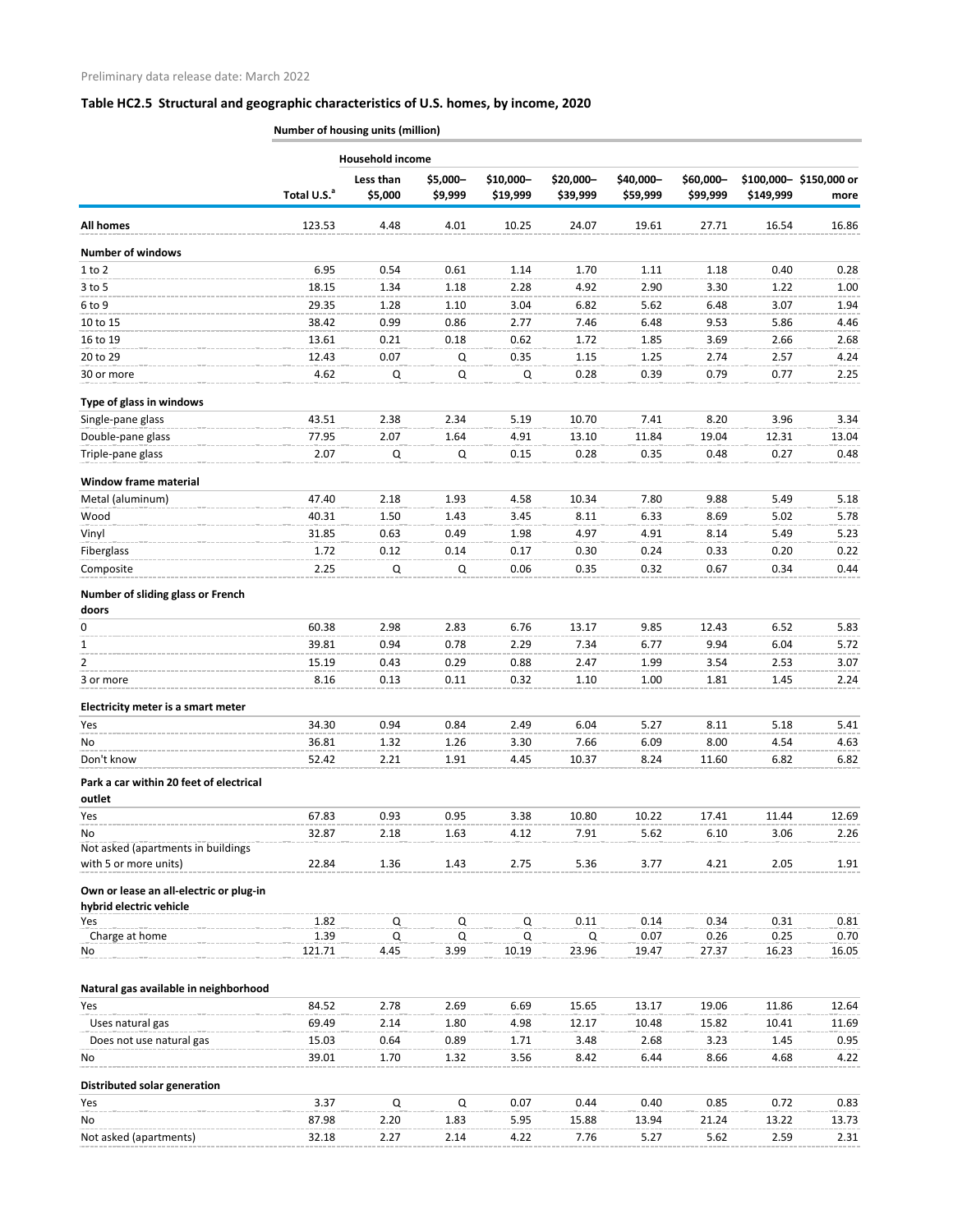|                                                   | <b>Household income</b> |                      |                     |                       |                       |                       |                       |              |                                |  |  |
|---------------------------------------------------|-------------------------|----------------------|---------------------|-----------------------|-----------------------|-----------------------|-----------------------|--------------|--------------------------------|--|--|
|                                                   | Total U.S. <sup>a</sup> | Less than<br>\$5,000 | \$5,000-<br>\$9,999 | \$10,000-<br>\$19,999 | \$20,000-<br>\$39,999 | \$40,000-<br>\$59,999 | \$60,000-<br>\$99,999 | \$149,999    | \$100,000-\$150,000 or<br>more |  |  |
| <b>All homes</b>                                  | 123.53                  | 4.48                 | 4.01                | 10.25                 | 24.07                 | 19.61                 | 27.71                 | 16.54        | 16.86                          |  |  |
| <b>Number of windows</b>                          |                         |                      |                     |                       |                       |                       |                       |              |                                |  |  |
| $1$ to $2$                                        | 6.95                    | 0.54                 | 0.61                | 1.14                  | 1.70                  | 1.11                  | 1.18                  | 0.40         | 0.28                           |  |  |
| $3$ to 5                                          | 18.15                   | 1.34                 | 1.18                | 2.28                  | 4.92                  | 2.90                  | 3.30                  | 1.22         | 1.00                           |  |  |
| 6 to 9                                            | 29.35                   | 1.28                 | 1.10                | 3.04                  | 6.82                  | 5.62                  | 6.48                  | 3.07         | 1.94                           |  |  |
| 10 to 15                                          | 38.42                   | 0.99                 | 0.86                | 2.77                  | 7.46                  | 6.48                  | 9.53                  | 5.86         | 4.46                           |  |  |
| 16 to 19                                          | 13.61                   | 0.21                 | 0.18                | 0.62                  | 1.72                  | 1.85                  | 3.69                  | 2.66         | 2.68                           |  |  |
| 20 to 29                                          | 12.43                   | 0.07                 | Q                   | 0.35                  | 1.15                  | 1.25                  | 2.74                  | 2.57         | 4.24                           |  |  |
| 30 or more                                        | 4.62                    | Q                    | Q                   | Q                     | 0.28                  | 0.39                  | 0.79                  | 0.77         | 2.25                           |  |  |
| Type of glass in windows                          |                         |                      |                     |                       |                       |                       |                       |              |                                |  |  |
| Single-pane glass                                 | 43.51                   | 2.38                 | 2.34                | 5.19                  | 10.70                 | 7.41                  | 8.20                  | 3.96         | 3.34                           |  |  |
| Double-pane glass                                 | 77.95                   | 2.07                 | 1.64                | 4.91                  | 13.10                 | 11.84                 | 19.04                 | 12.31        | 13.04                          |  |  |
| Triple-pane glass                                 | 2.07                    | Q                    | Q                   | 0.15                  | 0.28                  | 0.35                  | 0.48                  | 0.27         | 0.48                           |  |  |
| <b>Window frame material</b>                      |                         |                      |                     |                       |                       |                       |                       |              |                                |  |  |
| Metal (aluminum)                                  | 47.40                   | 2.18                 | 1.93                | 4.58                  | 10.34                 | 7.80                  | 9.88                  | 5.49         | 5.18                           |  |  |
| Wood                                              | 40.31                   | 1.50                 | 1.43                | 3.45                  | 8.11                  | 6.33                  | 8.69                  | 5.02         | 5.78                           |  |  |
| Vinyl                                             | 31.85                   | 0.63                 | 0.49                | 1.98                  | 4.97                  | 4.91                  | 8.14                  | 5.49         | 5.23                           |  |  |
| Fiberglass                                        | 1.72                    | 0.12                 | 0.14                | 0.17                  | 0.30                  | 0.24                  | 0.33                  | 0.20         | 0.22                           |  |  |
| Composite                                         | 2.25                    | Q                    | Q                   | 0.06                  | 0.35                  | 0.32                  | 0.67                  | 0.34         | 0.44                           |  |  |
| Number of sliding glass or French<br>doors        |                         |                      |                     |                       |                       |                       |                       |              |                                |  |  |
| 0                                                 | 60.38                   | 2.98                 | 2.83                | 6.76                  | 13.17                 | 9.85                  | 12.43                 | 6.52         | 5.83                           |  |  |
| 1                                                 | 39.81                   | 0.94                 | 0.78                | 2.29                  | 7.34                  | 6.77                  | 9.94                  | 6.04         | 5.72                           |  |  |
| 2                                                 | 15.19                   | 0.43                 | 0.29                | 0.88                  | 2.47                  | 1.99                  | 3.54                  | 2.53         | 3.07                           |  |  |
| 3 or more                                         | 8.16                    | 0.13                 | 0.11                | 0.32                  | 1.10                  | 1.00                  | 1.81                  | 1.45         | 2.24                           |  |  |
| Electricity meter is a smart meter                |                         |                      |                     |                       |                       |                       |                       |              |                                |  |  |
| Yes                                               | 34.30                   | 0.94                 | 0.84                | 2.49                  | 6.04                  | 5.27                  | 8.11                  | 5.18         | 5.41                           |  |  |
| No                                                | 36.81                   | 1.32                 | 1.26                | 3.30                  | 7.66                  | 6.09                  | 8.00                  | 4.54         | 4.63                           |  |  |
| Don't know                                        | 52.42                   | 2.21                 | 1.91                | 4.45                  | 10.37                 | 8.24                  | 11.60                 | 6.82         | 6.82                           |  |  |
| Park a car within 20 feet of electrical<br>outlet |                         |                      |                     |                       |                       |                       |                       |              |                                |  |  |
| Yes                                               | 67.83                   | 0.93                 | 0.95                | 3.38                  | 10.80                 | 10.22                 | 17.41                 | 11.44        | 12.69                          |  |  |
| No                                                | 32.87                   | 2.18                 | 1.63                | 4.12                  | 7.91                  | 5.62                  | 6.10                  | 3.06         | 2.26                           |  |  |
| Not asked (apartments in buildings                |                         |                      |                     |                       |                       |                       |                       |              |                                |  |  |
| with 5 or more units)                             | 22.84                   | 1.36                 | 1.43                | 2.75                  | 5.36                  | 3.77                  | 4.21                  | 2.05         | 1.91                           |  |  |
| Own or lease an all-electric or plug-in           |                         |                      |                     |                       |                       |                       |                       |              |                                |  |  |
| hybrid electric vehicle<br>Yes                    | 1.82                    | Q                    | Q                   | Q                     | 0.11                  | 0.14                  | 0.34                  | 0.31         | 0.81                           |  |  |
| Charge at home                                    | 1.39                    | Q                    | Q                   | $\Omega$              | Q                     | 0.07                  | 0.26                  | 0.25         | 0.70                           |  |  |
| No                                                | 121.71                  | 4.45                 | 3.99                | 10.19                 | 23.96                 | 19.47                 | 27.37                 | 16.23        | 16.05                          |  |  |
|                                                   |                         |                      |                     |                       |                       |                       |                       |              |                                |  |  |
| Natural gas available in neighborhood             |                         |                      |                     |                       |                       |                       |                       |              |                                |  |  |
| Yes                                               | 84.52                   | 2.78                 | 2.69                | 6.69                  | 15.65                 | 13.17                 | 19.06                 | 11.86        | 12.64                          |  |  |
| Uses natural gas                                  | 69.49                   | 2.14                 | 1.80                | 4.98                  | 12.17                 | 10.48                 | 15.82                 | 10.41        | 11.69                          |  |  |
| Does not use natural gas<br>No                    | 15.03<br>39.01          | 0.64<br>1.70         | 0.89<br>1.32        | 1.71<br>3.56          | 3.48<br>8.42          | 2.68<br>6.44          | 3.23<br>8.66          | 1.45<br>4.68 | 0.95<br>4.22                   |  |  |
|                                                   |                         |                      |                     |                       |                       |                       |                       |              |                                |  |  |
| Distributed solar generation<br>Yes               | 3.37                    | Q                    | Q                   | 0.07                  | 0.44                  | 0.40                  | 0.85                  | 0.72         | 0.83                           |  |  |
| No                                                | 87.98                   | 2.20                 | 1.83                | 5.95                  | 15.88                 | 13.94                 | 21.24                 | 13.22        | 13.73                          |  |  |
| Not asked (apartments)                            | 32.18                   | 2.27                 | 2.14                | 4.22                  | 7.76                  | 5.27                  | 5.62                  | 2.59         | 2.31                           |  |  |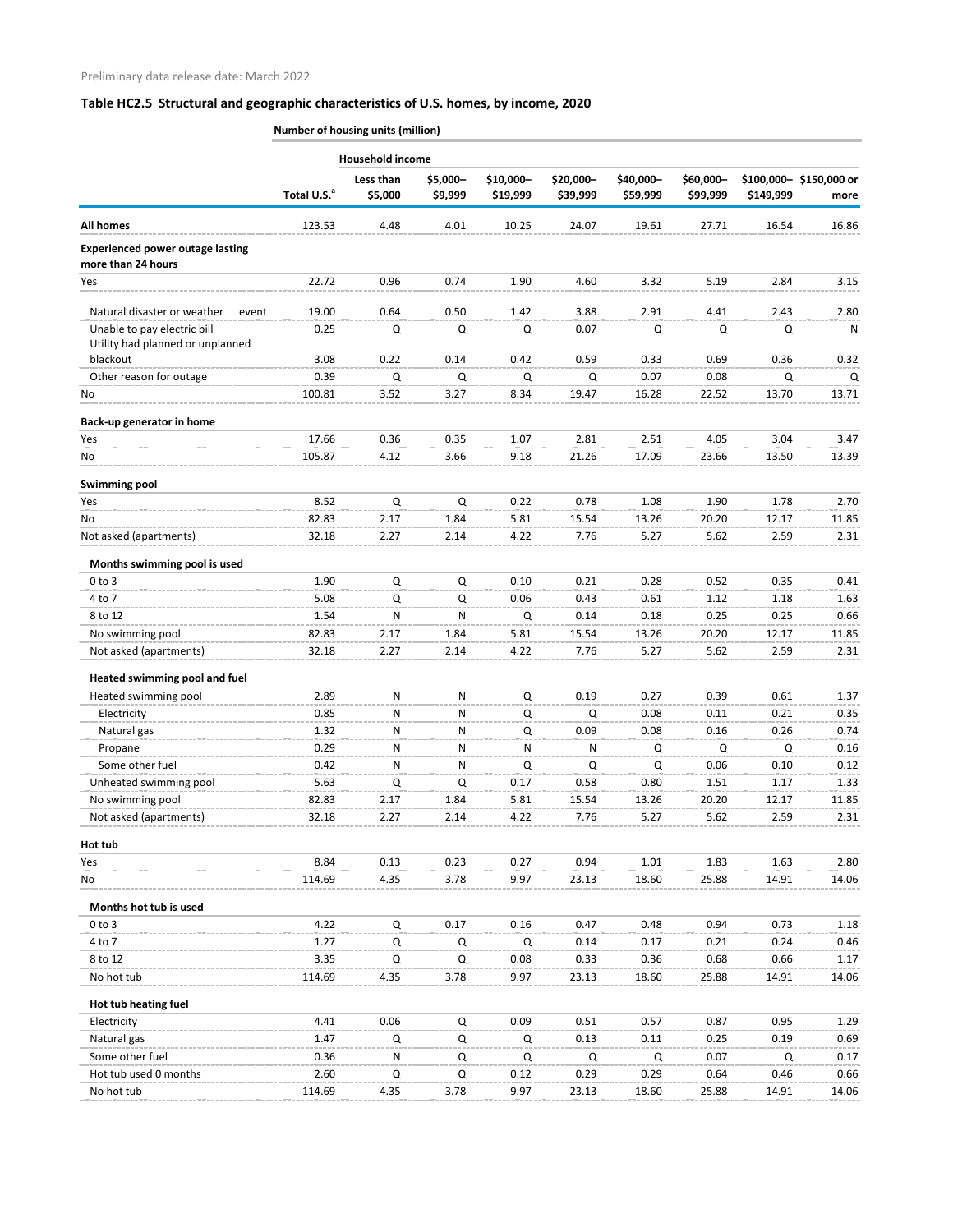|                                                               | <b>Household income</b> |                      |                     |                       |                       |                       |                       |           |                                |  |  |
|---------------------------------------------------------------|-------------------------|----------------------|---------------------|-----------------------|-----------------------|-----------------------|-----------------------|-----------|--------------------------------|--|--|
|                                                               | Total U.S. <sup>a</sup> | Less than<br>\$5,000 | \$5,000-<br>\$9,999 | \$10,000-<br>\$19,999 | \$20,000-<br>\$39,999 | \$40,000-<br>\$59,999 | \$60,000-<br>\$99,999 | \$149,999 | \$100,000-\$150,000 or<br>more |  |  |
| <b>All homes</b>                                              | 123.53                  | 4.48                 | 4.01                | 10.25                 | 24.07                 | 19.61                 | 27.71                 | 16.54     | 16.86                          |  |  |
| <b>Experienced power outage lasting</b><br>more than 24 hours |                         |                      |                     |                       |                       |                       |                       |           |                                |  |  |
| Yes                                                           | 22.72                   | 0.96                 | 0.74                | 1.90                  | 4.60                  | 3.32                  | 5.19                  | 2.84      | 3.15                           |  |  |
| Natural disaster or weather<br>event                          | 19.00                   | 0.64                 | 0.50                | 1.42                  | 3.88                  | 2.91                  | 4.41                  | 2.43      | 2.80                           |  |  |
| Unable to pay electric bill                                   | 0.25                    | $\Omega$             | Q                   | Q                     | 0.07                  | $\mathsf Q$           | Q                     | $\Omega$  | N                              |  |  |
| Utility had planned or unplanned                              |                         |                      |                     |                       |                       |                       |                       |           |                                |  |  |
| blackout                                                      | 3.08                    | 0.22                 | 0.14                | 0.42                  | 0.59                  | 0.33                  | 0.69                  | 0.36      | 0.32                           |  |  |
| Other reason for outage                                       | 0.39                    | $\Omega$             | Q                   | Q                     | Q                     | 0.07                  | 0.08                  | Q         | Q                              |  |  |
| No                                                            | 100.81                  | 3.52                 | 3.27                | 8.34                  | 19.47                 | 16.28                 | 22.52                 | 13.70     | 13.71                          |  |  |
| Back-up generator in home                                     |                         |                      |                     |                       |                       |                       |                       |           |                                |  |  |
| Yes                                                           | 17.66                   | 0.36                 | 0.35                | 1.07                  | 2.81                  | 2.51                  | 4.05                  | 3.04      | 3.47                           |  |  |
| No                                                            | 105.87                  | 4.12                 | 3.66                | 9.18                  | 21.26                 | 17.09                 | 23.66                 | 13.50     | 13.39                          |  |  |
|                                                               |                         |                      |                     |                       |                       |                       |                       |           |                                |  |  |
| <b>Swimming pool</b><br>Yes                                   | 8.52                    | $\mathsf Q$          | $\mathsf Q$         | 0.22                  | 0.78                  | 1.08                  | 1.90                  | 1.78      | 2.70                           |  |  |
| No                                                            | 82.83                   | 2.17                 | 1.84                | 5.81                  | 15.54                 | 13.26                 | 20.20                 | 12.17     | 11.85                          |  |  |
| Not asked (apartments)                                        | 32.18                   | 2.27                 | 2.14                | 4.22                  | 7.76                  | 5.27                  | 5.62                  | 2.59      | 2.31                           |  |  |
|                                                               |                         |                      |                     |                       |                       |                       |                       |           |                                |  |  |
| Months swimming pool is used<br>$0$ to $3$                    | 1.90                    | Q                    | Q                   | 0.10                  | 0.21                  | 0.28                  | 0.52                  | 0.35      | 0.41                           |  |  |
| 4 to 7                                                        | 5.08                    | Q                    | Q                   | 0.06                  | 0.43                  | 0.61                  | 1.12                  | 1.18      | 1.63                           |  |  |
| 8 to 12                                                       | 1.54                    | N                    | N                   | $\Omega$              | 0.14                  | 0.18                  | 0.25                  | 0.25      | 0.66                           |  |  |
| No swimming pool                                              | 82.83                   | 2.17                 | 1.84                | 5.81                  | 15.54                 | 13.26                 | 20.20                 | 12.17     | 11.85                          |  |  |
| Not asked (apartments)                                        | 32.18                   | 2.27                 | 2.14                | 4.22                  | 7.76                  | 5.27                  | 5.62                  | 2.59      | 2.31                           |  |  |
|                                                               |                         |                      |                     |                       |                       |                       |                       |           |                                |  |  |
| Heated swimming pool and fuel<br>Heated swimming pool         | 2.89                    | N                    | N                   | $\mathsf Q$           | 0.19                  | 0.27                  | 0.39                  | 0.61      | 1.37                           |  |  |
| Electricity                                                   | 0.85                    | N                    | N                   | Q                     | Q                     | 0.08                  | 0.11                  | 0.21      | 0.35                           |  |  |
| Natural gas                                                   | 1.32                    | N                    | N                   | Q                     | 0.09                  | 0.08                  | 0.16                  | 0.26      | 0.74                           |  |  |
| Propane                                                       | 0.29                    | N                    | N                   | N                     | N                     | Q                     | Q                     | Q         | 0.16                           |  |  |
| Some other fuel                                               | 0.42                    | $\mathsf{N}$         | $\mathsf{N}$        | $\Omega$              | Q                     | $\Omega$              | 0.06                  | 0.10      | 0.12                           |  |  |
| Unheated swimming pool                                        | 5.63                    | Q                    | Q                   | 0.17                  | 0.58                  | 0.80                  | 1.51                  | 1.17      | 1.33                           |  |  |
| No swimming pool                                              | 82.83                   | 2.17                 | 1.84                | 5.81                  | 15.54                 | 13.26                 | 20.20                 | 12.17     | 11.85                          |  |  |
| Not asked (apartments)                                        | 32.18                   | 2.27                 | 2.14                | 4.22                  | 7.76                  | 5.27                  | 5.62                  | 2.59      | 2.31                           |  |  |
| Hot tub                                                       |                         |                      |                     |                       |                       |                       |                       |           |                                |  |  |
| Yes                                                           | 8.84                    | 0.13                 | 0.23                | 0.27                  | 0.94                  | 1.01                  | 1.83                  | 1.63      | 2.80                           |  |  |
| No                                                            | 114.69                  | 4.35                 | 3.78                | 9.97                  | 23.13                 | 18.60                 | 25.88                 | 14.91     | 14.06                          |  |  |
|                                                               |                         |                      |                     |                       |                       |                       |                       |           |                                |  |  |
| Months hot tub is used                                        |                         |                      |                     |                       |                       |                       |                       |           |                                |  |  |
| $0$ to $3$                                                    | 4.22                    | $\Omega$             | 0.17                | 0.16                  | 0.47                  | 0.48                  | 0.94                  | 0.73      | 1.18                           |  |  |
| 4 to 7                                                        | 1.27                    | Q                    | Q                   | Q                     | 0.14                  | 0.17                  | 0.21                  | 0.24      | 0.46                           |  |  |
| 8 to 12                                                       | 3.35                    | $\mathsf Q$          | Q                   | 0.08                  | 0.33                  | 0.36                  | 0.68                  | 0.66      | 1.17                           |  |  |
| No hot tub                                                    | 114.69                  | 4.35                 | 3.78                | 9.97                  | 23.13                 | 18.60                 | 25.88                 | 14.91     | 14.06                          |  |  |
| Hot tub heating fuel                                          |                         |                      |                     |                       |                       |                       |                       |           |                                |  |  |
| Electricity                                                   | 4.41                    | 0.06                 | Q                   | 0.09                  | 0.51                  | 0.57                  | 0.87                  | 0.95      | 1.29                           |  |  |
| Natural gas                                                   | 1.47                    | $\mathsf Q$          | Q                   | Q                     | 0.13                  | 0.11                  | 0.25                  | 0.19      | 0.69                           |  |  |
| Some other fuel                                               | 0.36                    | N                    | Q                   | Q                     | Q                     | Q                     | 0.07                  | Q         | 0.17                           |  |  |
| Hot tub used 0 months                                         | 2.60                    | Q                    | Q                   | 0.12                  | 0.29                  | 0.29                  | 0.64                  | 0.46      | 0.66                           |  |  |
| No hot tub                                                    | 114.69                  | 4.35                 | 3.78                | 9.97                  | 23.13                 | 18.60                 | 25.88                 | 14.91     | 14.06                          |  |  |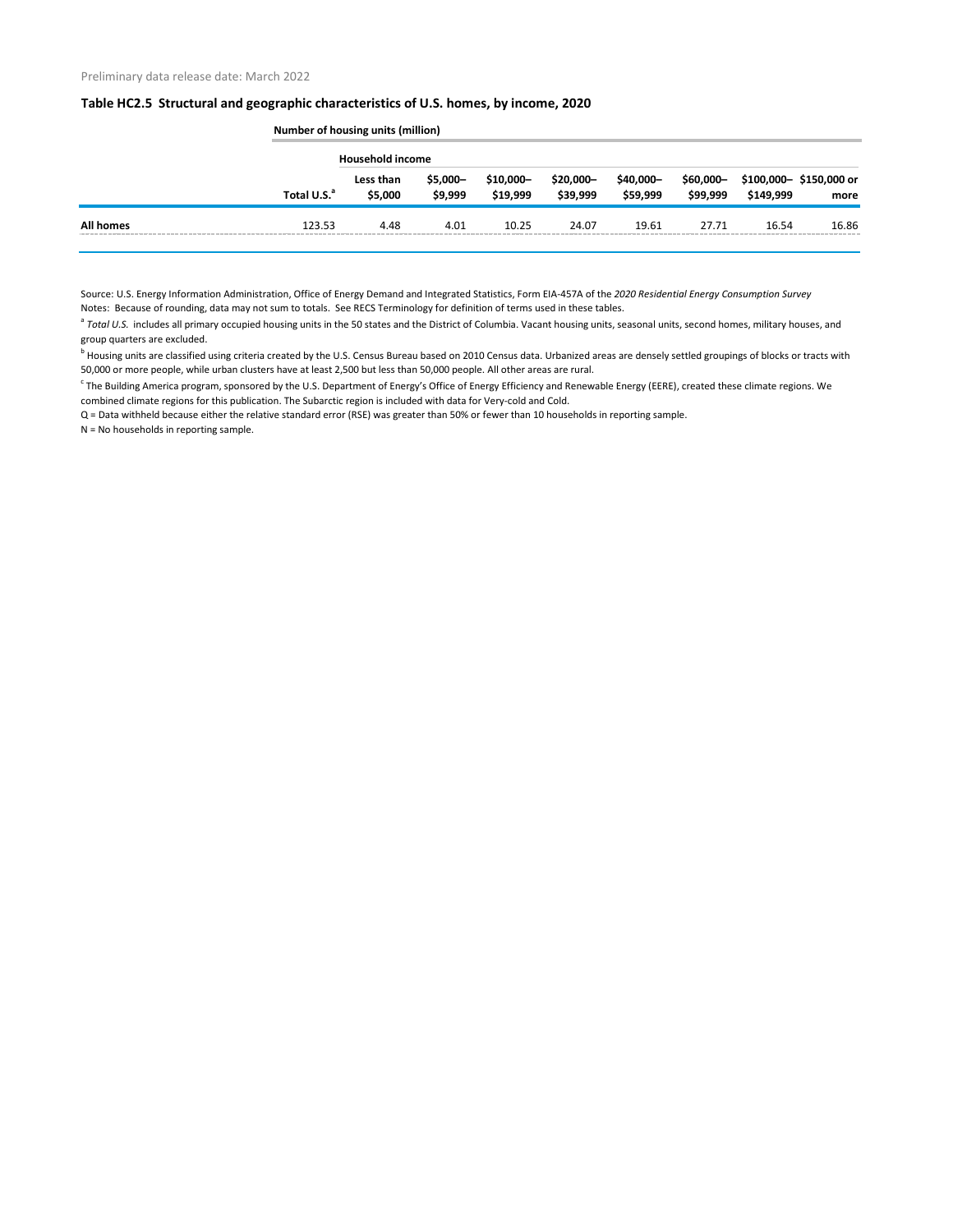|                  |                         | Number of housing units (million) |                      |                        |                        |                       |                        |           |                                |  |
|------------------|-------------------------|-----------------------------------|----------------------|------------------------|------------------------|-----------------------|------------------------|-----------|--------------------------------|--|
|                  |                         | <b>Household income</b>           |                      |                        |                        |                       |                        |           |                                |  |
|                  | Total U.S. <sup>a</sup> | Less than<br>\$5,000              | $$5,000-$<br>\$9,999 | $$10,000-$<br>\$19,999 | $$20,000-$<br>\$39,999 | \$40,000-<br>\$59,999 | $$60,000-$<br>\$99,999 | \$149,999 | \$100,000-\$150,000 or<br>more |  |
| <b>All homes</b> | 123.53                  | 4.48                              | 4.01                 | 10.25                  | 24.07                  | 19.61                 | 27.71                  | 16.54     | 16.86                          |  |

Source: U.S. Energy Information Administration, Office of Energy Demand and Integrated Statistics, Form EIA-457A of the *2020 Residential Energy Consumption Survey* Notes: Because of rounding, data may not sum to totals. See RECS Terminology for definition of terms used in these tables.

<sup>a</sup> Total U.S. includes all primary occupied housing units in the 50 states and the District of Columbia. Vacant housing units, seasonal units, second homes, military houses, and group quarters are excluded.

<sup>b</sup> Housing units are classified using criteria created by the U.S. Census Bureau based on 2010 Census data. Urbanized areas are densely settled groupings of blocks or tracts with 50,000 or more people, while urban clusters have at least 2,500 but less than 50,000 people. All other areas are rural.

<sup>c</sup> The Building America program, sponsored by the U.S. Department of Energy's Office of Energy Efficiency and Renewable Energy (EERE), created these climate regions. We combined climate regions for this publication. The Subarctic region is included with data for Very-cold and Cold.

Q = Data withheld because either the relative standard error (RSE) was greater than 50% or fewer than 10 households in reporting sample.

N = No households in reporting sample.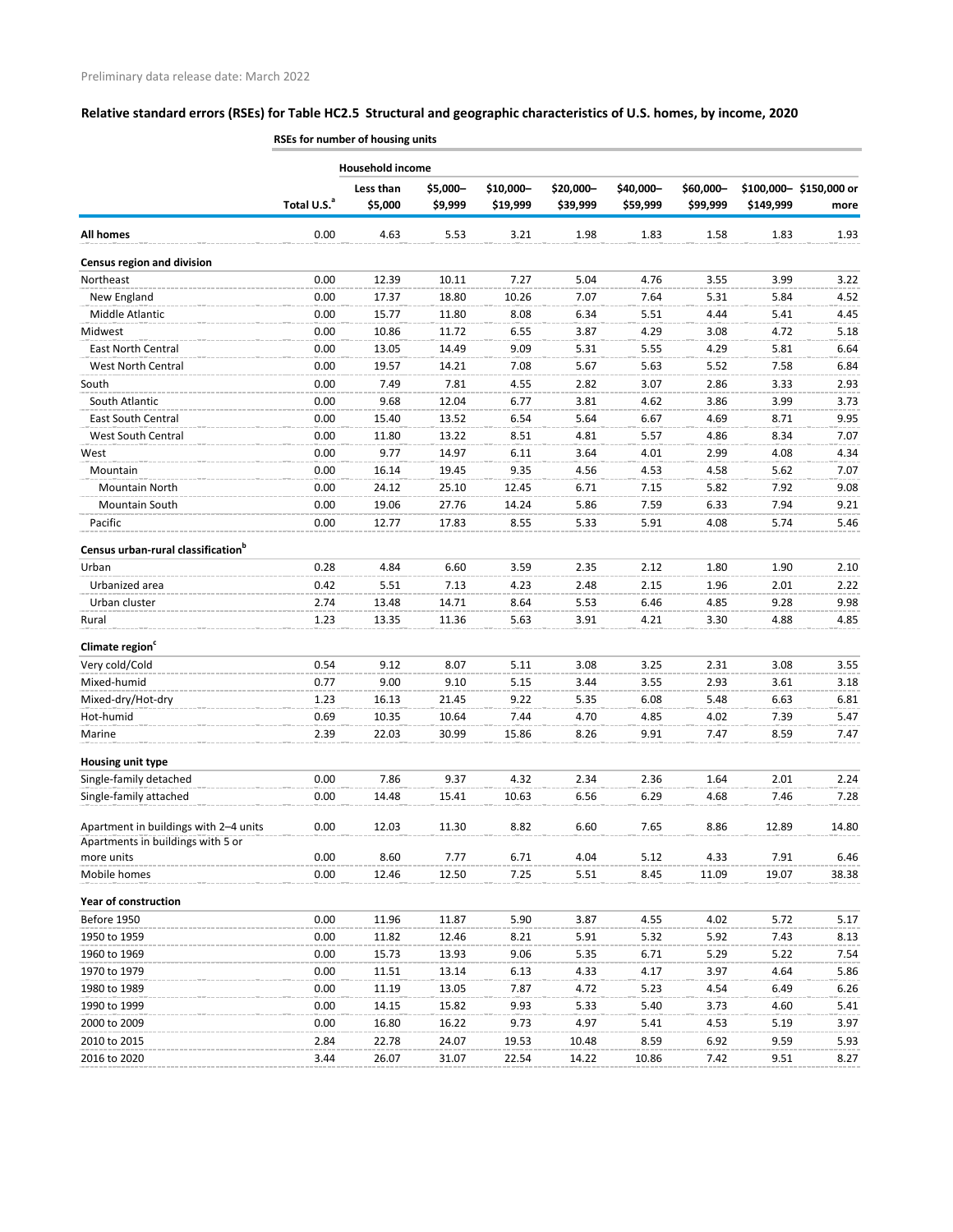|                                                                            | <b>NOLS TOT HUITIDET OF HOUSING UITILS</b> |                         |                     |                       |                       |                       |                       |           |                                |
|----------------------------------------------------------------------------|--------------------------------------------|-------------------------|---------------------|-----------------------|-----------------------|-----------------------|-----------------------|-----------|--------------------------------|
|                                                                            |                                            | <b>Household income</b> |                     |                       |                       |                       |                       |           |                                |
|                                                                            | Total U.S. <sup>a</sup>                    | Less than<br>\$5,000    | \$5,000-<br>\$9,999 | \$10,000-<br>\$19,999 | \$20,000-<br>\$39,999 | \$40,000-<br>\$59,999 | \$60,000-<br>\$99,999 | \$149,999 | \$100,000-\$150,000 or<br>more |
| <b>All homes</b>                                                           | 0.00                                       | 4.63                    | 5.53                | 3.21                  | 1.98                  | 1.83                  | 1.58                  | 1.83      | 1.93                           |
| <b>Census region and division</b>                                          |                                            |                         |                     |                       |                       |                       |                       |           |                                |
| Northeast                                                                  | 0.00                                       | 12.39                   | 10.11               | 7.27                  | 5.04                  | 4.76                  | 3.55                  | 3.99      | 3.22                           |
| New England                                                                | 0.00                                       | 17.37                   | 18.80               | 10.26                 | 7.07                  | 7.64                  | 5.31                  | 5.84      | 4.52                           |
| Middle Atlantic                                                            | 0.00                                       | 15.77                   | 11.80               | 8.08                  | 6.34                  | 5.51                  | 4.44                  | 5.41      | 4.45                           |
| Midwest                                                                    | 0.00                                       | 10.86                   | 11.72               | 6.55                  | 3.87                  | 4.29                  | 3.08                  | 4.72      | 5.18                           |
| East North Central                                                         | 0.00                                       | 13.05                   | 14.49               | 9.09                  | 5.31                  | 5.55                  | 4.29                  | 5.81      | 6.64                           |
| West North Central                                                         | 0.00                                       | 19.57                   | 14.21               | 7.08                  | 5.67                  | 5.63                  | 5.52                  | 7.58      | 6.84                           |
| South                                                                      | 0.00                                       | 7.49                    | 7.81                | 4.55                  | 2.82                  | 3.07                  | 2.86                  | 3.33      | 2.93                           |
| South Atlantic                                                             | 0.00                                       | 9.68                    | 12.04               | 6.77                  | 3.81                  | 4.62                  | 3.86                  | 3.99      | 3.73                           |
| <b>East South Central</b>                                                  | 0.00                                       | 15.40                   | 13.52               | 6.54                  | 5.64                  | 6.67                  | 4.69                  | 8.71      | 9.95                           |
| <b>West South Central</b>                                                  | 0.00                                       | 11.80                   | 13.22               | 8.51                  | 4.81                  | 5.57                  | 4.86                  | 8.34      | 7.07                           |
| West                                                                       | 0.00                                       | 9.77                    | 14.97               | 6.11                  | 3.64                  | 4.01                  | 2.99                  | 4.08      | 4.34                           |
| Mountain                                                                   | 0.00                                       | 16.14                   | 19.45               | 9.35                  | 4.56                  | 4.53                  | 4.58                  | 5.62      | 7.07                           |
| <b>Mountain North</b>                                                      | 0.00                                       | 24.12                   | 25.10               | 12.45                 | 6.71                  | 7.15                  | 5.82                  | 7.92      | 9.08                           |
| Mountain South                                                             | 0.00                                       | 19.06                   | 27.76               | 14.24                 | 5.86                  | 7.59                  | 6.33                  | 7.94      | 9.21                           |
| Pacific                                                                    | 0.00                                       | 12.77                   | 17.83               | 8.55                  | 5.33                  | 5.91                  | 4.08                  | 5.74      | 5.46                           |
| Census urban-rural classification <sup>b</sup>                             |                                            |                         |                     |                       |                       |                       |                       |           |                                |
| Urban                                                                      | 0.28                                       | 4.84                    | 6.60                | 3.59                  | 2.35                  | 2.12                  | 1.80                  | 1.90      | 2.10                           |
| Urbanized area                                                             | 0.42                                       | 5.51                    | 7.13                | 4.23                  | 2.48                  | 2.15                  | 1.96                  | 2.01      | 2.22                           |
| Urban cluster                                                              | 2.74                                       | 13.48                   | 14.71               | 8.64                  | 5.53                  | 6.46                  | 4.85                  | 9.28      | 9.98                           |
| Rural                                                                      | 1.23                                       | 13.35                   | 11.36               | 5.63                  | 3.91                  | 4.21                  | 3.30                  | 4.88      | 4.85                           |
| Climate region <sup>c</sup>                                                |                                            |                         |                     |                       |                       |                       |                       |           |                                |
| Very cold/Cold                                                             | 0.54                                       | 9.12                    | 8.07                | 5.11                  | 3.08                  | 3.25                  | 2.31                  | 3.08      | 3.55                           |
| Mixed-humid                                                                | 0.77                                       | 9.00                    | 9.10                | 5.15                  | 3.44                  | 3.55                  | 2.93                  | 3.61      | 3.18                           |
| Mixed-dry/Hot-dry                                                          | 1.23                                       | 16.13                   | 21.45               | 9.22                  | 5.35                  | 6.08                  | 5.48                  | 6.63      | 6.81                           |
| Hot-humid                                                                  | 0.69                                       | 10.35                   | 10.64               | 7.44                  | 4.70                  | 4.85                  | 4.02                  | 7.39      | 5.47                           |
| Marine                                                                     | 2.39                                       | 22.03                   | 30.99               | 15.86                 | 8.26                  | 9.91                  | 7.47                  | 8.59      | 7.47                           |
| Housing unit type                                                          |                                            |                         |                     |                       |                       |                       |                       |           |                                |
| Single-family detached                                                     | 0.00                                       | 7.86                    | 9.37                | 4.32                  | 2.34                  | 2.36                  | 1.64                  | 2.01      | 2.24                           |
| Single-family attached                                                     | 0.00                                       | 14.48                   | 15.41               | 10.63                 | 6.56                  | 6.29                  | 4.68                  | 7.46      | 7.28                           |
| Apartment in buildings with 2-4 units<br>Apartments in buildings with 5 or | 0.00                                       | 12.03                   | 11.30               | 8.82                  | 6.60                  | 7.65                  | 8.86                  | 12.89     | 14.80                          |
| more units                                                                 | 0.00                                       | 8.60                    | 7.77                | 6.71                  | 4.04                  | 5.12                  | 4.33                  | 7.91      | 6.46                           |
| Mobile homes                                                               | 0.00                                       | 12.46                   | 12.50               | 7.25                  | 5.51                  | 8.45                  | 11.09                 | 19.07     | 38.38                          |
| <b>Year of construction</b>                                                |                                            |                         |                     |                       |                       |                       |                       |           |                                |
| Before 1950                                                                | 0.00                                       | 11.96                   | 11.87               | 5.90                  | 3.87                  | 4.55                  | 4.02                  | 5.72      | 5.17                           |
| 1950 to 1959                                                               | 0.00                                       | 11.82                   | 12.46               | 8.21                  | 5.91                  | 5.32                  | 5.92                  | 7.43      | 8.13                           |
| 1960 to 1969                                                               | 0.00                                       | 15.73                   | 13.93               | 9.06                  | 5.35                  | 6.71                  | 5.29                  | 5.22      | 7.54                           |
| 1970 to 1979                                                               | 0.00                                       | 11.51                   | 13.14               | 6.13                  | 4.33                  | 4.17                  | 3.97                  | 4.64      | 5.86                           |
| 1980 to 1989                                                               | 0.00                                       | 11.19                   | 13.05               | 7.87                  | 4.72                  | 5.23                  | 4.54                  | 6.49      | 6.26                           |
| 1990 to 1999                                                               | 0.00                                       | 14.15                   | 15.82               | 9.93                  | 5.33                  | 5.40                  | 3.73                  | 4.60      | 5.41                           |
| 2000 to 2009                                                               | 0.00                                       | 16.80                   | 16.22               | 9.73                  | 4.97                  | 5.41                  | 4.53                  | 5.19      | 3.97                           |
| 2010 to 2015                                                               | 2.84                                       | 22.78                   | 24.07               | 19.53                 | 10.48                 | 8.59                  | 6.92                  | 9.59      | 5.93                           |
| 2016 to 2020                                                               | 3.44                                       | 26.07                   | 31.07               | 22.54                 | 14.22                 | 10.86                 | 7.42                  | 9.51      | 8.27                           |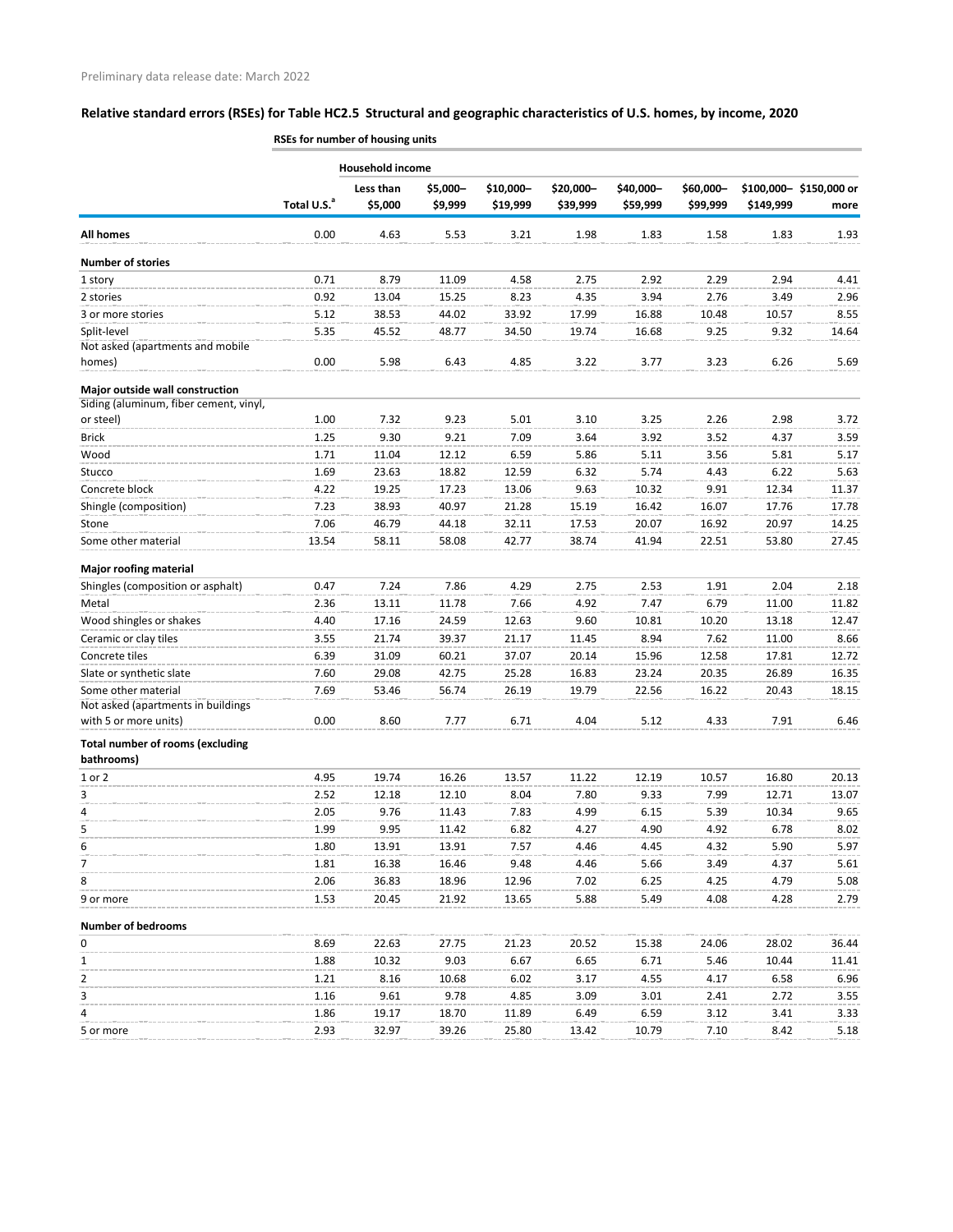|                                                       | <b>AJES TOF HUITIDEL OF HOUSING UNILS</b> |                      |                     |                       |                       |                       |                       |           |                                |
|-------------------------------------------------------|-------------------------------------------|----------------------|---------------------|-----------------------|-----------------------|-----------------------|-----------------------|-----------|--------------------------------|
|                                                       |                                           | Household income     |                     |                       |                       |                       |                       |           |                                |
|                                                       | Total U.S. <sup>a</sup>                   | Less than<br>\$5,000 | \$5,000-<br>\$9,999 | \$10,000-<br>\$19,999 | \$20,000-<br>\$39,999 | \$40,000-<br>\$59,999 | \$60,000-<br>\$99,999 | \$149,999 | \$100,000-\$150,000 or<br>more |
| <b>All homes</b>                                      | 0.00                                      | 4.63                 | 5.53                | 3.21                  | 1.98                  | 1.83                  | 1.58                  | 1.83      | 1.93                           |
| <b>Number of stories</b>                              |                                           |                      |                     |                       |                       |                       |                       |           |                                |
| 1 story                                               | 0.71                                      | 8.79                 | 11.09               | 4.58                  | 2.75                  | 2.92                  | 2.29                  | 2.94      | 4.41                           |
| 2 stories                                             | 0.92                                      | 13.04                | 15.25               | 8.23                  | 4.35                  | 3.94                  | 2.76                  | 3.49      | 2.96                           |
| 3 or more stories                                     | 5.12                                      | 38.53                | 44.02               | 33.92                 | 17.99                 | 16.88                 | 10.48                 | 10.57     | 8.55                           |
| Split-level                                           | 5.35                                      | 45.52                | 48.77               | 34.50                 | 19.74                 | 16.68                 | 9.25                  | 9.32      | 14.64                          |
| Not asked (apartments and mobile<br>homes)            | 0.00                                      | 5.98                 | 6.43                | 4.85                  | 3.22                  | 3.77                  | 3.23                  | 6.26      | 5.69                           |
| Major outside wall construction                       |                                           |                      |                     |                       |                       |                       |                       |           |                                |
| Siding (aluminum, fiber cement, vinyl,                |                                           |                      |                     |                       |                       |                       |                       |           |                                |
| or steel)                                             | 1.00                                      | 7.32                 | 9.23                | 5.01                  | 3.10                  | 3.25                  | 2.26                  | 2.98      | 3.72                           |
| <b>Brick</b>                                          | 1.25                                      | 9.30                 | 9.21                | 7.09                  | 3.64                  | 3.92                  | 3.52                  | 4.37      | 3.59                           |
| Wood                                                  | 1.71                                      | 11.04                | 12.12               | 6.59                  | 5.86                  | 5.11                  | 3.56                  | 5.81      | 5.17                           |
| Stucco                                                | 1.69                                      | 23.63                | 18.82               | 12.59                 | 6.32                  | 5.74                  | 4.43                  | 6.22      | 5.63                           |
| Concrete block                                        | 4.22                                      | 19.25                | 17.23               | 13.06                 | 9.63                  | 10.32                 | 9.91                  | 12.34     | 11.37                          |
| Shingle (composition)                                 | 7.23                                      | 38.93                | 40.97               | 21.28                 | 15.19                 | 16.42                 | 16.07                 | 17.76     | 17.78                          |
| Stone                                                 | 7.06                                      | 46.79                | 44.18               | 32.11                 | 17.53                 | 20.07                 | 16.92                 | 20.97     | 14.25                          |
| Some other material                                   | 13.54                                     | 58.11                | 58.08               | 42.77                 | 38.74                 | 41.94                 | 22.51                 | 53.80     | 27.45                          |
| <b>Major roofing material</b>                         |                                           |                      |                     |                       |                       |                       |                       |           |                                |
| Shingles (composition or asphalt)                     | 0.47                                      | 7.24                 | 7.86                | 4.29                  | 2.75                  | 2.53                  | 1.91                  | 2.04      | 2.18                           |
| Metal                                                 | 2.36                                      | 13.11                | 11.78               | 7.66                  | 4.92                  | 7.47                  | 6.79                  | 11.00     | 11.82                          |
| Wood shingles or shakes                               | 4.40                                      | 17.16                | 24.59               | 12.63                 | 9.60                  | 10.81                 | 10.20                 | 13.18     | 12.47                          |
| Ceramic or clay tiles                                 | 3.55                                      | 21.74                | 39.37               | 21.17                 | 11.45                 | 8.94                  | 7.62                  | 11.00     | 8.66                           |
| Concrete tiles                                        | 6.39                                      | 31.09                | 60.21               | 37.07                 | 20.14                 | 15.96                 | 12.58                 | 17.81     | 12.72                          |
| Slate or synthetic slate                              | 7.60                                      | 29.08                | 42.75               | 25.28                 | 16.83                 | 23.24                 | 20.35                 | 26.89     | 16.35                          |
| Some other material                                   | 7.69                                      | 53.46                | 56.74               | 26.19                 | 19.79                 | 22.56                 | 16.22                 | 20.43     | 18.15                          |
| Not asked (apartments in buildings                    |                                           |                      |                     |                       |                       |                       |                       |           |                                |
| with 5 or more units)                                 | 0.00                                      | 8.60                 | 7.77                | 6.71                  | 4.04                  | 5.12                  | 4.33                  | 7.91      | 6.46                           |
| <b>Total number of rooms (excluding</b><br>bathrooms) |                                           |                      |                     |                       |                       |                       |                       |           |                                |
| 1 or 2                                                | 4.95                                      | 19.74                | 16.26               | 13.57                 | 11.22                 | 12.19                 | 10.57                 | 16.80     | 20.13                          |
| 3                                                     | 2.52                                      | 12.18                | 12.10               | 8.04                  | 7.80                  | 9.33                  | 7.99                  | 12.71     | 13.07                          |
| 4                                                     | 2.05                                      | 9.76                 | 11.43               | 7.83                  | 4.99                  | 6.15                  | 5.39                  | 10.34     | 9.65                           |
| 5                                                     | 1.99                                      | 9.95                 | 11.42               | 6.82                  | 4.27                  | 4.90                  | 4.92                  | 6.78      | 8.02                           |
| 6                                                     | 1.80                                      | 13.91                | 13.91               | 7.57                  | 4.46                  | 4.45                  | 4.32                  | 5.90      | 5.97                           |
| 7                                                     | 1.81                                      | 16.38                | 16.46               | 9.48                  | 4.46                  | 5.66                  | 3.49                  | 4.37      | 5.61                           |
| 8                                                     | 2.06                                      | 36.83                | 18.96               | 12.96                 | 7.02                  | 6.25                  | 4.25                  | 4.79      | 5.08                           |
| 9 or more                                             | 1.53                                      | 20.45                | 21.92               | 13.65                 | 5.88                  | 5.49                  | 4.08                  | 4.28      | 2.79                           |
| <b>Number of bedrooms</b>                             |                                           |                      |                     |                       |                       |                       |                       |           |                                |
| 0                                                     | 8.69                                      | 22.63                | 27.75               | 21.23                 | 20.52                 | 15.38                 | 24.06                 | 28.02     | 36.44                          |
| 1                                                     | 1.88                                      | 10.32                | 9.03                | 6.67                  | 6.65                  | 6.71                  | 5.46                  | 10.44     | 11.41                          |
| 2                                                     | 1.21                                      | 8.16                 | 10.68               | 6.02                  | 3.17                  | 4.55                  | 4.17                  | 6.58      | 6.96                           |
| 3                                                     | 1.16                                      | 9.61                 | 9.78                | 4.85                  | 3.09                  | 3.01                  | 2.41                  | 2.72      | 3.55                           |
| 4                                                     | 1.86                                      | 19.17                | 18.70               | 11.89                 | 6.49                  | 6.59                  | 3.12                  | 3.41      | 3.33                           |
| 5 or more                                             | 2.93                                      | 32.97                | 39.26               | 25.80                 | 13.42                 | 10.79                 | 7.10                  | 8.42      | 5.18                           |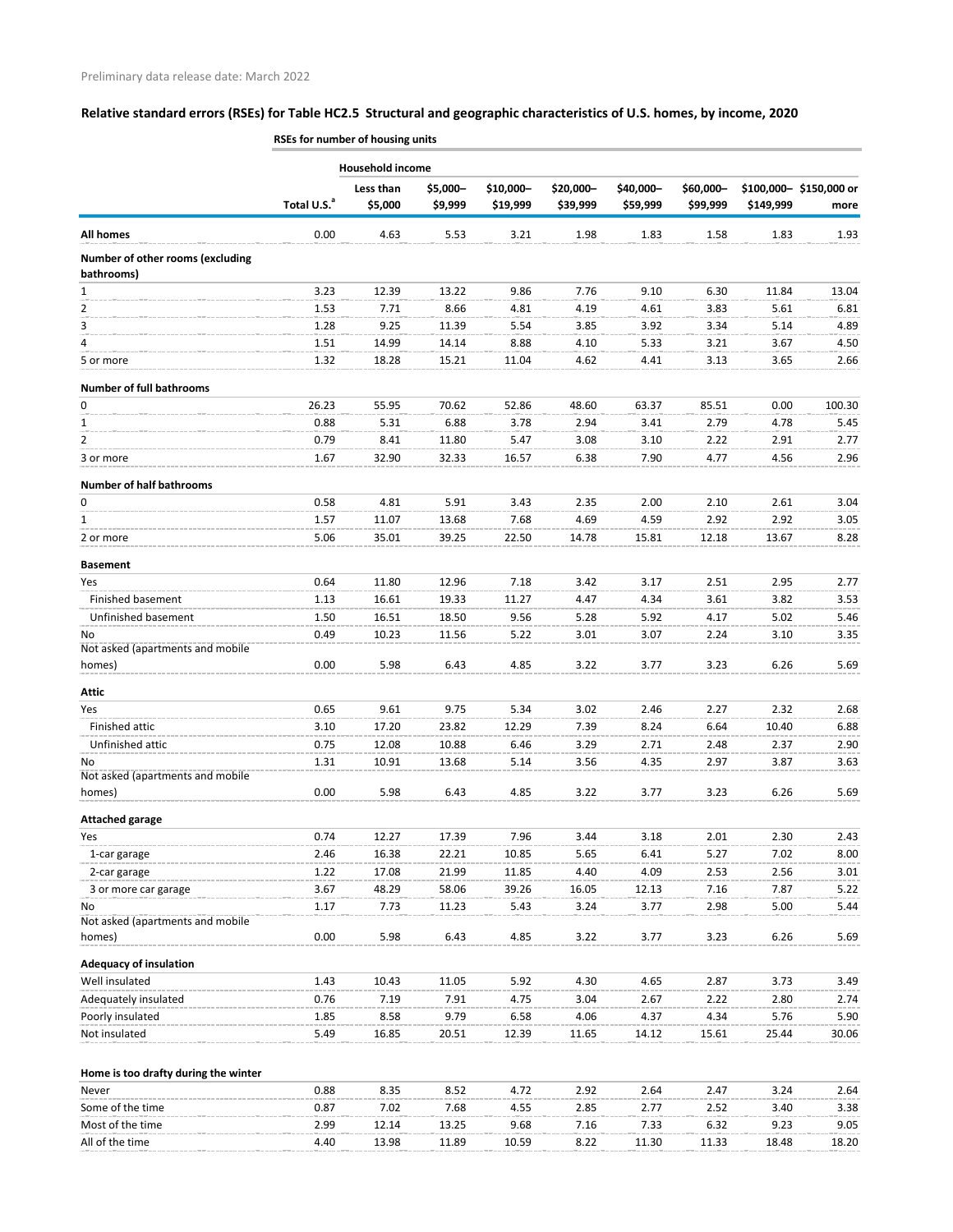|                                                 | noes for humber of housing units |                         |                     |                       |                       |                       |                       |           |                                |
|-------------------------------------------------|----------------------------------|-------------------------|---------------------|-----------------------|-----------------------|-----------------------|-----------------------|-----------|--------------------------------|
|                                                 |                                  | <b>Household income</b> |                     |                       |                       |                       |                       |           |                                |
|                                                 | Total U.S. <sup>a</sup>          | Less than<br>\$5,000    | \$5,000-<br>\$9,999 | \$10,000-<br>\$19,999 | \$20,000-<br>\$39,999 | \$40,000-<br>\$59,999 | \$60,000-<br>\$99,999 | \$149,999 | \$100,000-\$150,000 or<br>more |
| <b>All homes</b>                                | 0.00                             | 4.63                    | 5.53                | 3.21                  | 1.98                  | 1.83                  | 1.58                  | 1.83      | 1.93                           |
| Number of other rooms (excluding<br>bathrooms)  |                                  |                         |                     |                       |                       |                       |                       |           |                                |
| $\mathbf{1}$                                    | 3.23                             | 12.39                   | 13.22               | 9.86                  | 7.76                  | 9.10                  | 6.30                  | 11.84     | 13.04                          |
| 2                                               | 1.53                             | 7.71                    | 8.66                | 4.81                  | 4.19                  | 4.61                  | 3.83                  | 5.61      | 6.81                           |
| 3                                               | 1.28                             | 9.25                    | 11.39               | 5.54                  | 3.85                  | 3.92                  | 3.34                  | 5.14      | 4.89                           |
| 4                                               | 1.51                             | 14.99                   | 14.14               | 8.88                  | 4.10                  | 5.33                  | 3.21                  | 3.67      | 4.50                           |
| 5 or more                                       | 1.32                             | 18.28                   | 15.21               | 11.04                 | 4.62                  | 4.41                  | 3.13                  | 3.65      | 2.66                           |
| <b>Number of full bathrooms</b>                 |                                  |                         |                     |                       |                       |                       |                       |           |                                |
| 0                                               | 26.23                            | 55.95                   | 70.62               | 52.86                 | 48.60                 | 63.37                 | 85.51                 | 0.00      | 100.30                         |
| 1                                               | 0.88                             | 5.31                    | 6.88                | 3.78                  | 2.94                  | 3.41                  | 2.79                  | 4.78      | 5.45                           |
| $\overline{2}$                                  | 0.79                             | 8.41                    | 11.80               | 5.47                  | 3.08                  | 3.10                  | 2.22                  | 2.91      | 2.77                           |
| 3 or more                                       | 1.67                             | 32.90                   | 32.33               | 16.57                 | 6.38                  | 7.90                  | 4.77                  | 4.56      | 2.96                           |
| <b>Number of half bathrooms</b>                 |                                  |                         |                     |                       |                       |                       |                       |           |                                |
| 0                                               | 0.58                             | 4.81                    | 5.91                | 3.43                  | 2.35                  | 2.00                  | 2.10                  | 2.61      | 3.04                           |
| $\mathbf{1}$                                    | 1.57                             | 11.07                   | 13.68               | 7.68                  | 4.69                  | 4.59                  | 2.92                  | 2.92      | 3.05                           |
| 2 or more                                       | 5.06                             | 35.01                   | 39.25               | 22.50                 | 14.78                 | 15.81                 | 12.18                 | 13.67     | 8.28                           |
| <b>Basement</b>                                 |                                  |                         |                     |                       |                       |                       |                       |           |                                |
| Yes                                             | 0.64                             | 11.80                   | 12.96               | 7.18                  | 3.42                  | 3.17                  | 2.51                  | 2.95      | 2.77                           |
| Finished basement                               | 1.13                             | 16.61                   | 19.33               | 11.27                 | 4.47                  | 4.34                  | 3.61                  | 3.82      | 3.53                           |
| Unfinished basement                             | 1.50                             | 16.51                   | 18.50               | 9.56                  | 5.28                  | 5.92                  | 4.17                  | 5.02      | 5.46                           |
| No                                              | 0.49                             | 10.23                   | 11.56               | 5.22                  | 3.01                  | 3.07                  | 2.24                  | 3.10      | 3.35                           |
| Not asked (apartments and mobile<br>homes)      | 0.00                             | 5.98                    | 6.43                | 4.85                  | 3.22                  | 3.77                  | 3.23                  | 6.26      | 5.69                           |
| <b>Attic</b>                                    |                                  |                         |                     |                       |                       |                       |                       |           |                                |
| Yes                                             | 0.65                             | 9.61                    | 9.75                | 5.34                  | 3.02                  | 2.46                  | 2.27                  | 2.32      | 2.68                           |
| Finished attic                                  | 3.10                             | 17.20                   | 23.82               | 12.29                 | 7.39                  | 8.24                  | 6.64                  | 10.40     | 6.88                           |
| Unfinished attic                                | 0.75                             | 12.08                   | 10.88               | 6.46                  | 3.29                  | 2.71                  | 2.48                  | 2.37      | 2.90                           |
| No                                              | 1.31                             | 10.91                   | 13.68               | 5.14                  | 3.56                  | 4.35                  | 2.97                  | 3.87      | 3.63                           |
| Not asked (apartments and mobile<br>homes)      | 0.00                             | 5.98                    | 6.43                | 4.85                  | 3.22                  | 3.77                  | 3.23                  | 6.26      | 5.69                           |
| <b>Attached garage</b>                          |                                  |                         |                     |                       |                       |                       |                       |           |                                |
| Yes                                             | 0.74                             | 12.27                   | 17.39               | 7.96                  | 3.44                  | 3.18                  | 2.01                  | 2.30      | 2.43                           |
| 1-car garage                                    | 2.46                             | 16.38                   | 22.21               | 10.85                 | 5.65                  | 6.41                  | 5.27                  | 7.02      | 8.00                           |
| 2-car garage                                    | 1.22                             | 17.08                   | 21.99               | 11.85                 | 4.40                  | 4.09                  | 2.53                  | 2.56      | 3.01                           |
| 3 or more car garage                            | 3.67                             | 48.29                   | 58.06               | 39.26                 | 16.05                 | 12.13                 | 7.16                  | 7.87      | 5.22                           |
| No                                              | 1.17                             | 7.73                    | 11.23               | 5.43                  | 3.24                  | 3.77                  | 2.98                  | 5.00      | 5.44                           |
| Not asked (apartments and mobile<br>homes)      | 0.00                             | 5.98                    | 6.43                | 4.85                  | 3.22                  | 3.77                  | 3.23                  | 6.26      | 5.69                           |
|                                                 |                                  |                         |                     |                       |                       |                       |                       |           |                                |
| <b>Adequacy of insulation</b><br>Well insulated | 1.43                             | 10.43                   | 11.05               | 5.92                  | 4.30                  | 4.65                  | 2.87                  | 3.73      | 3.49                           |
| Adequately insulated                            | 0.76                             | 7.19                    | 7.91                | 4.75                  | 3.04                  | 2.67                  | 2.22                  | 2.80      | 2.74                           |
| Poorly insulated                                | 1.85                             | 8.58                    | 9.79                | 6.58                  | 4.06                  | 4.37                  | 4.34                  | 5.76      | 5.90                           |
| Not insulated                                   | 5.49                             | 16.85                   | 20.51               | 12.39                 | 11.65                 | 14.12                 | 15.61                 | 25.44     | 30.06                          |
|                                                 |                                  |                         |                     |                       |                       |                       |                       |           |                                |
| Home is too drafty during the winter            |                                  |                         |                     |                       |                       |                       |                       |           |                                |
| Never                                           | 0.88                             | 8.35                    | 8.52                | 4.72                  | 2.92                  | 2.64                  | 2.47                  | 3.24      | 2.64                           |
| Some of the time                                | 0.87                             | 7.02                    | 7.68                | 4.55                  | 2.85                  | 2.77                  | 2.52                  | 3.40      | 3.38                           |
| Most of the time                                | 2.99                             | 12.14                   | 13.25               | 9.68                  | 7.16                  | 7.33                  | 6.32                  | 9.23      | 9.05                           |
| All of the time                                 | 4.40                             | 13.98                   | 11.89               | 10.59                 | 8.22                  | 11.30                 | 11.33                 | 18.48     | 18.20                          |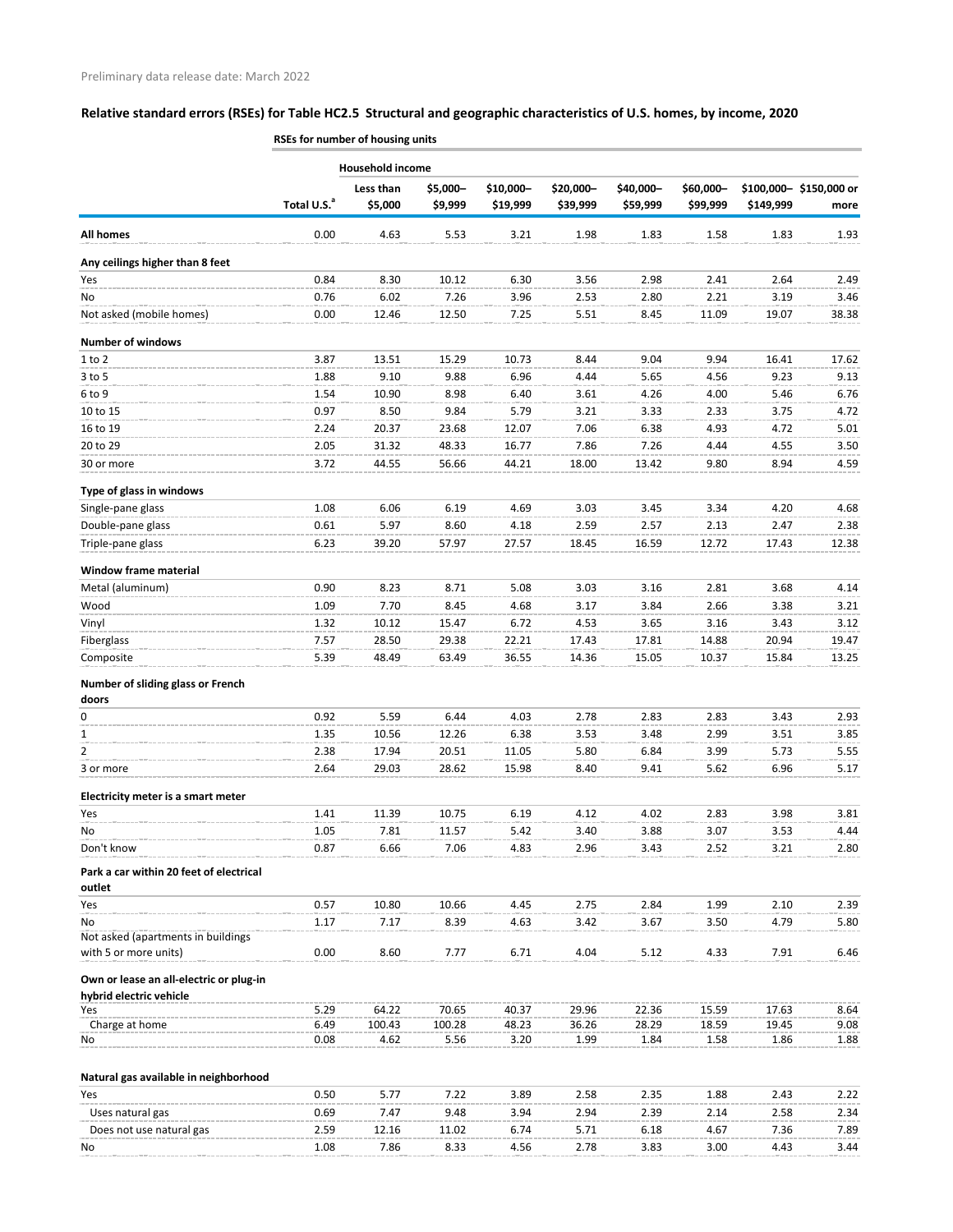|                                                   | RSEs for number of housing units |                         |                     |                       |                       |                       |                       |           |                                |
|---------------------------------------------------|----------------------------------|-------------------------|---------------------|-----------------------|-----------------------|-----------------------|-----------------------|-----------|--------------------------------|
|                                                   |                                  | <b>Household income</b> |                     |                       |                       |                       |                       |           |                                |
|                                                   | Total U.S. <sup>a</sup>          | Less than<br>\$5,000    | \$5,000-<br>\$9,999 | \$10,000-<br>\$19,999 | \$20,000-<br>\$39,999 | \$40,000-<br>\$59,999 | \$60,000-<br>\$99,999 | \$149,999 | \$100,000-\$150,000 or<br>more |
| <b>All homes</b>                                  | 0.00                             | 4.63                    | 5.53                | 3.21                  | 1.98                  | 1.83                  | 1.58                  | 1.83      | 1.93                           |
| Any ceilings higher than 8 feet                   |                                  |                         |                     |                       |                       |                       |                       |           |                                |
| Yes                                               | 0.84                             | 8.30                    | 10.12               | 6.30                  | 3.56                  | 2.98                  | 2.41                  | 2.64      | 2.49                           |
| No                                                | 0.76                             | 6.02                    | 7.26                | 3.96                  | 2.53                  | 2.80                  | 2.21                  | 3.19      | 3.46                           |
| Not asked (mobile homes)                          | 0.00                             | 12.46                   | 12.50               | 7.25                  | 5.51                  | 8.45                  | 11.09                 | 19.07     | 38.38                          |
| <b>Number of windows</b>                          |                                  |                         |                     |                       |                       |                       |                       |           |                                |
| $1$ to $2$                                        | 3.87                             | 13.51                   | 15.29               | 10.73                 | 8.44                  | 9.04                  | 9.94                  | 16.41     | 17.62                          |
| $3$ to 5                                          | 1.88                             | 9.10                    | 9.88                | 6.96                  | 4.44                  | 5.65                  | 4.56                  | 9.23      | 9.13                           |
| 6 to 9                                            | 1.54                             | 10.90                   | 8.98                | 6.40                  | 3.61                  | 4.26                  | 4.00                  | 5.46      | 6.76                           |
| 10 to 15                                          | 0.97                             | 8.50                    | 9.84                | 5.79                  | 3.21                  | 3.33                  | 2.33                  | 3.75      | 4.72                           |
| 16 to 19                                          | 2.24                             | 20.37                   | 23.68               | 12.07                 | 7.06                  | 6.38                  | 4.93                  | 4.72      | 5.01                           |
| 20 to 29                                          | 2.05                             | 31.32                   | 48.33               | 16.77                 | 7.86                  | 7.26                  | 4.44                  | 4.55      | 3.50                           |
| 30 or more                                        | 3.72                             | 44.55                   | 56.66               | 44.21                 | 18.00                 | 13.42                 | 9.80                  | 8.94      | 4.59                           |
| Type of glass in windows                          |                                  |                         |                     |                       |                       |                       |                       |           |                                |
| Single-pane glass                                 | 1.08                             | 6.06                    | 6.19                | 4.69                  | 3.03                  | 3.45                  | 3.34                  | 4.20      | 4.68                           |
| Double-pane glass                                 | 0.61                             | 5.97                    | 8.60                | 4.18                  | 2.59                  | 2.57                  | 2.13                  | 2.47      | 2.38                           |
| Triple-pane glass                                 | 6.23                             | 39.20                   | 57.97               | 27.57                 | 18.45                 | 16.59                 | 12.72                 | 17.43     | 12.38                          |
| <b>Window frame material</b>                      |                                  |                         |                     |                       |                       |                       |                       |           |                                |
| Metal (aluminum)                                  | 0.90                             | 8.23                    | 8.71                | 5.08                  | 3.03                  | 3.16                  | 2.81                  | 3.68      | 4.14                           |
| Wood                                              | 1.09                             | 7.70                    | 8.45                | 4.68                  | 3.17                  | 3.84                  | 2.66                  | 3.38      | 3.21                           |
| Vinyl                                             | 1.32                             | 10.12                   | 15.47               | 6.72                  | 4.53                  | 3.65                  | 3.16                  | 3.43      | 3.12                           |
| Fiberglass                                        | 7.57                             | 28.50                   | 29.38               | 22.21                 | 17.43                 | 17.81                 | 14.88                 | 20.94     | 19.47                          |
| Composite                                         | 5.39                             | 48.49                   | 63.49               | 36.55                 | 14.36                 | 15.05                 | 10.37                 | 15.84     | 13.25                          |
| Number of sliding glass or French                 |                                  |                         |                     |                       |                       |                       |                       |           |                                |
| doors                                             |                                  |                         |                     |                       |                       |                       |                       |           |                                |
| 0                                                 | 0.92                             | 5.59                    | 6.44                | 4.03                  | 2.78                  | 2.83                  | 2.83                  | 3.43      | 2.93                           |
| 1                                                 | 1.35                             | 10.56                   | 12.26               | 6.38                  | 3.53                  | 3.48                  | 2.99                  | 3.51      | 3.85                           |
| $\overline{2}$                                    | 2.38                             | 17.94                   | 20.51               | 11.05                 | 5.80                  | 6.84                  | 3.99                  | 5.73      | 5.55                           |
| 3 or more                                         | 2.64                             | 29.03                   | 28.62               | 15.98                 | 8.40                  | 9.41                  | 5.62                  | 6.96      | 5.17                           |
| Electricity meter is a smart meter                |                                  |                         |                     |                       |                       |                       |                       |           |                                |
| Yes                                               | 1.41                             | 11.39                   | 10.75               | 6.19                  | 4.12                  | 4.02                  | 2.83                  | 3.98      | 3.81                           |
| No                                                | 1.05                             | 7.81                    | 11.57               | 5.42                  | 3.40                  | 3.88                  | 3.07                  | 3.53      | 4.44                           |
| Don't know                                        | 0.87                             | 6.66                    | 7.06                | 4.83                  | 2.96                  | 3.43                  | 2.52                  | 3.21      | 2.80                           |
| Park a car within 20 feet of electrical<br>outlet |                                  |                         |                     |                       |                       |                       |                       |           |                                |
| Yes                                               | 0.57                             | 10.80                   | 10.66               | 4.45                  | 2.75                  | 2.84                  | 1.99                  | 2.10      | 2.39                           |
| No                                                | 1.17                             | 7.17                    | 8.39                | 4.63                  | 3.42                  | 3.67                  | 3.50                  | 4.79      | 5.80                           |
| Not asked (apartments in buildings                |                                  |                         |                     |                       |                       |                       |                       |           |                                |
| with 5 or more units)                             | 0.00                             | 8.60                    | 7.77                | 6.71                  | 4.04                  | 5.12                  | 4.33                  | 7.91      | 6.46                           |
| Own or lease an all-electric or plug-in           |                                  |                         |                     |                       |                       |                       |                       |           |                                |
| hybrid electric vehicle<br><b>Yes</b>             | 5.29                             | 64.22                   | 70.65               | 40.37                 | 29.96                 | 22.36                 | 15.59                 | 17.63     | 8.64                           |
| Charge at home                                    | 6.49                             | 100.43                  | 100.28              | 48.23                 | 36.26                 | 28.29                 | 18.59                 | 19.45     | 9.08                           |
| No                                                | 0.08                             | 4.62                    | 5.56                | 3.20                  | 1.99                  | 1.84                  | 1.58                  | 1.86      | 1.88                           |
| Natural gas available in neighborhood             |                                  |                         |                     |                       |                       |                       |                       |           |                                |
| Yes                                               | 0.50                             | 5.77                    | 7.22                | 3.89                  | 2.58                  | 2.35                  | 1.88                  | 2.43      | 2.22                           |
| Uses natural gas                                  | 0.69                             | 7.47                    | 9.48                | 3.94                  | 2.94                  | 2.39                  | 2.14                  | 2.58      | 2.34                           |
| Does not use natural gas                          | 2.59                             | 12.16                   | 11.02               | 6.74                  | 5.71                  | 6.18                  | 4.67                  | 7.36      | 7.89                           |
| No.                                               | 1.08                             | 7.86                    | 8.33                | 4.56                  | 2.78                  | 3.83                  | 3.00                  | 4.43      | 3.44                           |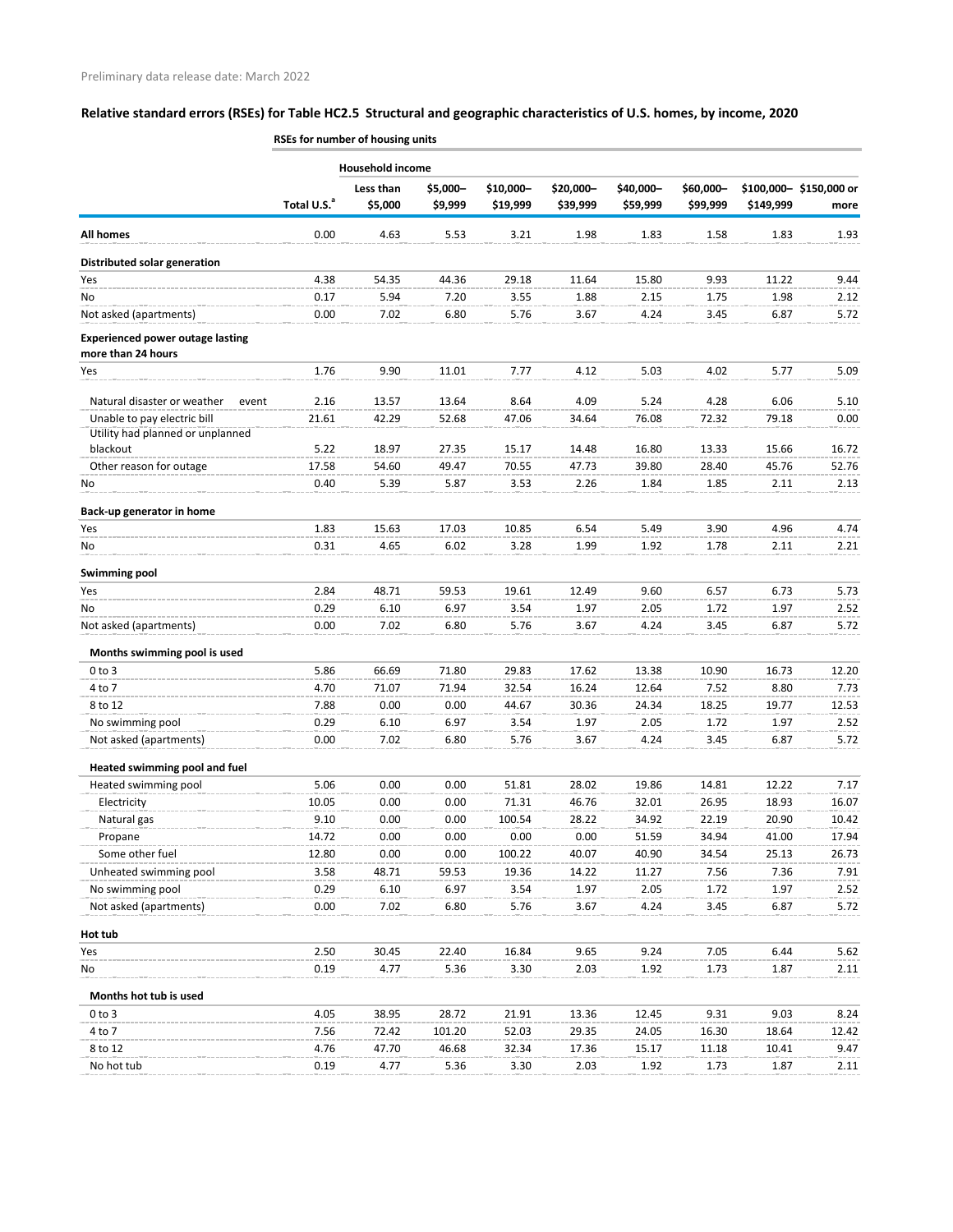|                                                               | RSES for number of nousing units |                         |                     |                       |                       |                       |                       |           |                                |
|---------------------------------------------------------------|----------------------------------|-------------------------|---------------------|-----------------------|-----------------------|-----------------------|-----------------------|-----------|--------------------------------|
|                                                               |                                  | <b>Household income</b> |                     |                       |                       |                       |                       |           |                                |
|                                                               | Total U.S. <sup>a</sup>          | Less than<br>\$5,000    | \$5,000-<br>\$9,999 | \$10,000-<br>\$19,999 | \$20,000-<br>\$39,999 | \$40,000-<br>\$59,999 | \$60,000-<br>\$99,999 | \$149,999 | \$100,000-\$150,000 or<br>more |
| <b>All homes</b>                                              | 0.00                             | 4.63                    | 5.53                | 3.21                  | 1.98                  | 1.83                  | 1.58                  | 1.83      | 1.93                           |
| Distributed solar generation                                  |                                  |                         |                     |                       |                       |                       |                       |           |                                |
| Yes                                                           | 4.38                             | 54.35                   | 44.36               | 29.18                 | 11.64                 | 15.80                 | 9.93                  | 11.22     | 9.44                           |
| No                                                            | 0.17                             | 5.94                    | 7.20                | 3.55                  | 1.88                  | 2.15                  | 1.75                  | 1.98      | 2.12                           |
| Not asked (apartments)                                        | 0.00                             | 7.02                    | 6.80                | 5.76                  | 3.67                  | 4.24                  | 3.45                  | 6.87      | 5.72                           |
| <b>Experienced power outage lasting</b><br>more than 24 hours |                                  |                         |                     |                       |                       |                       |                       |           |                                |
| Yes                                                           | 1.76                             | 9.90                    | 11.01               | 7.77                  | 4.12                  | 5.03                  | 4.02                  | 5.77      | 5.09                           |
| Natural disaster or weather<br>event                          | 2.16                             | 13.57                   | 13.64               | 8.64                  | 4.09                  | 5.24                  | 4.28                  | 6.06      | 5.10                           |
| Unable to pay electric bill                                   | 21.61                            | 42.29                   | 52.68               | 47.06                 | 34.64                 | 76.08                 | 72.32                 | 79.18     | 0.00                           |
| Utility had planned or unplanned                              |                                  |                         |                     |                       |                       |                       |                       |           |                                |
| blackout                                                      | 5.22                             | 18.97                   | 27.35               | 15.17                 | 14.48                 | 16.80                 | 13.33                 | 15.66     | 16.72                          |
| Other reason for outage                                       | 17.58                            | 54.60                   | 49.47               | 70.55                 | 47.73                 | 39.80                 | 28.40                 | 45.76     | 52.76                          |
| No                                                            | 0.40                             | 5.39                    | 5.87                | 3.53                  | 2.26                  | 1.84                  | 1.85                  | 2.11      | 2.13                           |
| Back-up generator in home                                     |                                  |                         |                     |                       |                       |                       |                       |           |                                |
| Yes                                                           | 1.83                             | 15.63                   | 17.03               | 10.85                 | 6.54                  | 5.49                  | 3.90                  | 4.96      | 4.74                           |
| No                                                            | 0.31                             | 4.65                    | 6.02                | 3.28                  | 1.99                  | 1.92                  | 1.78                  | 2.11      | 2.21                           |
| Swimming pool                                                 |                                  |                         |                     |                       |                       |                       |                       |           |                                |
| Yes                                                           | 2.84                             | 48.71                   | 59.53               | 19.61                 | 12.49                 | 9.60                  | 6.57                  | 6.73      | 5.73                           |
| No                                                            | 0.29                             | 6.10                    | 6.97                | 3.54                  | 1.97                  | 2.05                  | 1.72                  | 1.97      | 2.52                           |
| Not asked (apartments)                                        | 0.00                             | 7.02                    | 6.80                | 5.76                  | 3.67                  | 4.24                  | 3.45                  | 6.87      | 5.72                           |
| Months swimming pool is used                                  |                                  |                         |                     |                       |                       |                       |                       |           |                                |
| $0$ to $3$                                                    | 5.86                             | 66.69                   | 71.80               | 29.83                 | 17.62                 | 13.38                 | 10.90                 | 16.73     | 12.20                          |
| 4 to 7                                                        | 4.70                             | 71.07                   | 71.94               | 32.54                 | 16.24                 | 12.64                 | 7.52                  | 8.80      | 7.73                           |
| 8 to 12                                                       | 7.88                             | 0.00                    | 0.00                | 44.67                 | 30.36                 | 24.34                 | 18.25                 | 19.77     | 12.53                          |
| No swimming pool                                              | 0.29                             | 6.10                    | 6.97                | 3.54                  | 1.97                  | 2.05                  | 1.72                  | 1.97      | 2.52                           |
| Not asked (apartments)                                        | 0.00                             | 7.02                    | 6.80                | 5.76                  | 3.67                  | 4.24                  | 3.45                  | 6.87      | 5.72                           |
| Heated swimming pool and fuel                                 |                                  |                         |                     |                       |                       |                       |                       |           |                                |
| Heated swimming pool                                          | 5.06                             | 0.00                    | 0.00                | 51.81                 | 28.02                 | 19.86                 | 14.81                 | 12.22     | 7.17                           |
| Electricity                                                   | 10.05                            | 0.00                    | 0.00                | 71.31                 | 46.76                 | 32.01                 | 26.95                 | 18.93     | 16.07                          |
| Natural gas                                                   | 9.10                             | 0.00                    | 0.00                | 100.54                | 28.22                 | 34.92                 | 22.19                 | 20.90     | 10.42                          |
| Propane                                                       | 14.72                            | 0.00                    | 0.00                | 0.00                  | 0.00                  | 51.59                 | 34.94                 | 41.00     | 17.94                          |
| Some other fuel                                               | 12.80                            | 0.00                    | 0.00                | 100.22                | 40.07                 | 40.90                 | 34.54                 | 25.13     | 26.73                          |
| Unheated swimming pool                                        | 3.58                             | 48.71                   | 59.53               | 19.36                 | 14.22                 | 11.27                 | 7.56                  | 7.36      | 7.91                           |
| No swimming pool                                              | 0.29                             | 6.10                    | 6.97                | 3.54                  | 1.97                  | 2.05                  | 1.72                  | 1.97      | 2.52                           |
| Not asked (apartments)                                        | 0.00                             | 7.02                    | 6.80                | 5.76                  | 3.67                  | 4.24                  | 3.45                  | 6.87      | 5.72                           |
| Hot tub                                                       |                                  |                         |                     |                       |                       |                       |                       |           |                                |
| Yes                                                           | 2.50                             | 30.45                   | 22.40               | 16.84                 | 9.65                  | 9.24                  | 7.05                  | 6.44      | 5.62                           |
| No                                                            | 0.19                             | 4.77                    | 5.36                | 3.30                  | 2.03                  | 1.92                  | 1.73                  | 1.87      | 2.11                           |
| Months hot tub is used                                        |                                  |                         |                     |                       |                       |                       |                       |           |                                |
| $0$ to $3$                                                    | 4.05                             | 38.95                   | 28.72               | 21.91                 | 13.36                 | 12.45                 | 9.31                  | 9.03      | 8.24                           |
| 4 to 7                                                        | 7.56                             | 72.42                   | 101.20              | 52.03                 | 29.35                 | 24.05                 | 16.30                 | 18.64     | 12.42                          |
| 8 to 12                                                       | 4.76                             | 47.70                   | 46.68               | 32.34                 | 17.36                 | 15.17                 | 11.18                 | 10.41     | 9.47                           |
| No hot tub                                                    | 0.19                             | 4.77                    | 5.36                | 3.30                  | 2.03                  | 1.92                  | 1.73                  | 1.87      | 2.11                           |